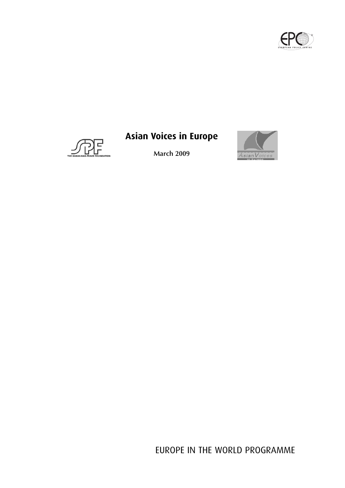



# **Asian Voices in Europe**

**March 2009**



EUROPE IN THE WORLD PROGRAMME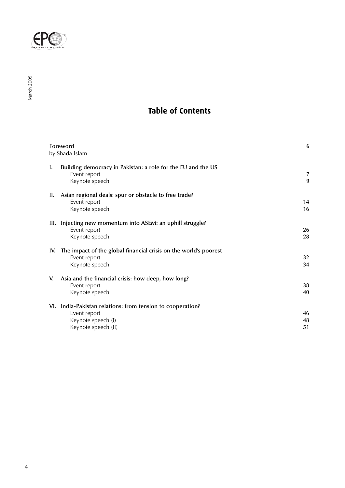

## **Table of Contents**

| Foreword<br>by Shada Islam |                                                                                                                         | 6              |
|----------------------------|-------------------------------------------------------------------------------------------------------------------------|----------------|
| Ι.                         | Building democracy in Pakistan: a role for the EU and the US<br>Event report<br>Keynote speech                          | 7<br>9         |
| Н.                         | Asian regional deals: spur or obstacle to free trade?<br>Event report<br>Keynote speech                                 | 14<br>16       |
|                            | III. Injecting new momentum into ASEM: an uphill struggle?<br>Event report<br>Keynote speech                            | 26<br>28       |
| IV.                        | The impact of the global financial crisis on the world's poorest<br>Event report<br>Keynote speech                      | 32<br>34       |
| V.                         | Asia and the financial crisis: how deep, how long?<br>Event report<br>Keynote speech                                    | 38<br>40       |
|                            | VI. India-Pakistan relations: from tension to cooperation?<br>Event report<br>Keynote speech (I)<br>Keynote speech (II) | 46<br>48<br>51 |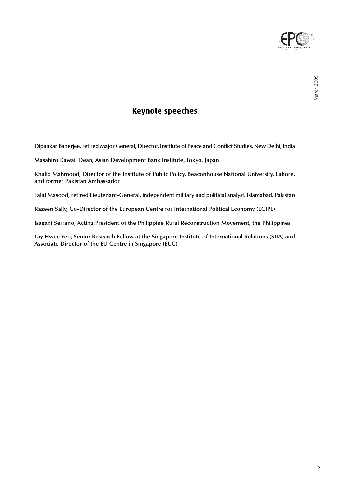

## **Keynote speeches**

**Dipankar Banerjee, retired Major General, Director, Institute of Peace and Conflict Studies, New Delhi, India**

**Masahiro Kawai, Dean, Asian Development Bank Institute, Tokyo, Japan**

**Khalid Mahmood, Director of the Institute of Public Policy, Beaconhouse National University, Lahore, and former Pakistan Ambassador**

**Talat Masood, retired Lieutenant-General, independent military and political analyst, Islamabad, Pakistan**

**Razeen Sally, Co-Director of the European Centre for International Political Economy (ECIPE)**

**Isagani Serrano, Acting President of the Philippine Rural Reconstruction Movement, the Philippines**

**Lay Hwee Yeo, Senior Research Fellow at the Singapore Institute of International Relations (SIIA) and Associate Director of the EU Centre in Singapore (EUC)**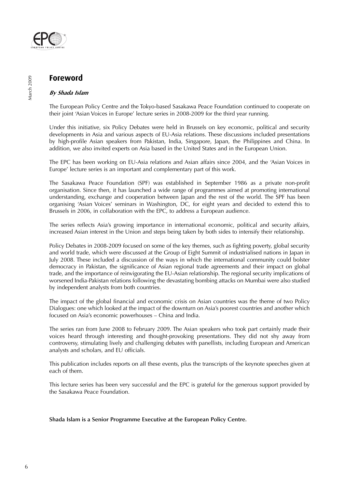

## **Foreword**

#### **By Shada Islam**

The European Policy Centre and the Tokyo-based Sasakawa Peace Foundation continued to cooperate on their joint 'Asian Voices in Europe' lecture series in 2008-2009 for the third year running.

Under this initiative, six Policy Debates were held in Brussels on key economic, political and security developments in Asia and various aspects of EU-Asia relations. These discussions included presentations by high-profile Asian speakers from Pakistan, India, Singapore, Japan, the Philippines and China. In addition, we also invited experts on Asia based in the United States and in the European Union.

The EPC has been working on EU-Asia relations and Asian affairs since 2004, and the 'Asian Voices in Europe' lecture series is an important and complementary part of this work.

The Sasakawa Peace Foundation (SPF) was established in September 1986 as a private non-profit organisation. Since then, it has launched a wide range of programmes aimed at promoting international understanding, exchange and cooperation between Japan and the rest of the world. The SPF has been organising 'Asian Voices' seminars in Washington, DC, for eight years and decided to extend this to Brussels in 2006, in collaboration with the EPC, to address a European audience.

The series reflects Asia's growing importance in international economic, political and security affairs, increased Asian interest in the Union and steps being taken by both sides to intensify their relationship.

Policy Debates in 2008-2009 focused on some of the key themes, such as fighting poverty, global security and world trade, which were discussed at the Group of Eight Summit of industrialised nations in Japan in July 2008. These included a discussion of the ways in which the international community could bolster democracy in Pakistan, the significance of Asian regional trade agreements and their impact on global trade, and the importance of reinvigorating the EU-Asian relationship. The regional security implications of worsened India-Pakistan relations following the devastating bombing attacks on Mumbai were also studied by independent analysts from both countries.

The impact of the global financial and economic crisis on Asian countries was the theme of two Policy Dialogues: one which looked at the impact of the downturn on Asia's poorest countries and another which focused on Asia's economic powerhouses – China and India.

The series ran from June 2008 to February 2009. The Asian speakers who took part certainly made their voices heard through interesting and thought-provoking presentations. They did not shy away from controversy, stimulating lively and challenging debates with panellists, including European and American analysts and scholars, and EU officials.

This publication includes reports on all these events, plus the transcripts of the keynote speeches given at each of them.

This lecture series has been very successful and the EPC is grateful for the generous support provided by the Sasakawa Peace Foundation.

**Shada Islam is a Senior Programme Executive at the European Policy Centre.**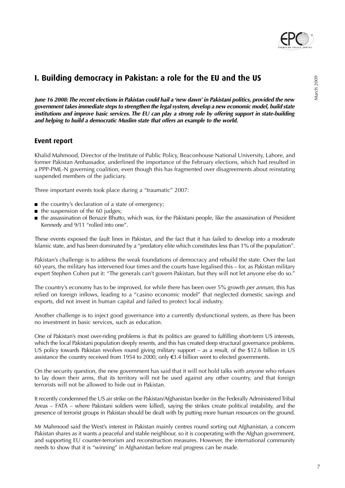

**June 16 2008: The recent elections in Pakistan could hail a 'new dawn' in Pakistani politics, provided the new government takes immediate steps to strengthen the legal system, develop a new economic model, build state institutions and improve basic services. The EU can play a strong role by offering support in state-building and helping to build a democratic Muslim state that offers an example to the world.**

## **Event report**

Khalid Mahmood, Director of the Institute of Public Policy, Beaconhouse National University, Lahore, and former Pakistan Ambassador, underlined the importance of the February elections, which had resulted in a PPP-PML-N governing coalition, even though this has fragmented over disagreements about reinstating suspended members of the judiciary.

Three important events took place during a "traumatic" 2007:

- the country's declaration of a state of emergency;
- the suspension of the 60 judges;
- the assassination of Benazir Bhutto, which was, for the Pakistani people, like the assassination of President Kennedy and 9/11 "rolled into one".

These events exposed the fault lines in Pakistan, and the fact that it has failed to develop into a moderate Islamic state, and has been dominated by a "predatory elite which constitutes less than 1% of the population".

Pakistan's challenge is to address the weak foundations of democracy and rebuild the state. Over the last 60 years, the military has intervened four times and the courts have legalised this – for, as Pakistan military expert Stephen Cohen put it: "The generals can't govern Pakistan, but they will not let anyone else do so."

The country's economy has to be improved, for while there has been over 5% growth *per annum*, this has relied on foreign inflows, leading to a "casino economic model" that neglected domestic savings and exports, did not invest in human capital and failed to protect local industry.

Another challenge is to inject good governance into a currently dysfunctional system, as there has been no investment in basic services, such as education.

One of Pakistan's most over-riding problems is that its politics are geared to fulfilling short-term US interests, which the local Pakistani population deeply resents, and this has created deep structural governance problems. US policy towards Pakistan revolves round giving military support – as a result, of the \$12.6 billion in US assistance the country received from 1954 to 2000, only €3.4 billion went to elected governments.

On the security question, the new government has said that it will not hold talks with anyone who refuses to lay down their arms, that its territory will not be used against any other country, and that foreign terrorists will not be allowed to hide out in Pakistan.

It recently condemned the US air strike on the Pakistan/Afghanistan border (in the Federally Administered Tribal Areas – FATA – where Pakistani soldiers were killed), saying the strikes create political instability, and the presence of terrorist groups in Pakistan should be dealt with by putting more human resources on the ground.

Mr Mahmood said the West's interest in Pakistan mainly centres round sorting out Afghanistan, a concern Pakistan shares as it wants a peaceful and stable neighbour, so it is cooperating with the Afghan government, and supporting EU counter-terrorism and reconstruction measures. However, the international community needs to show that it is "winning" in Afghanistan before real progress can be made.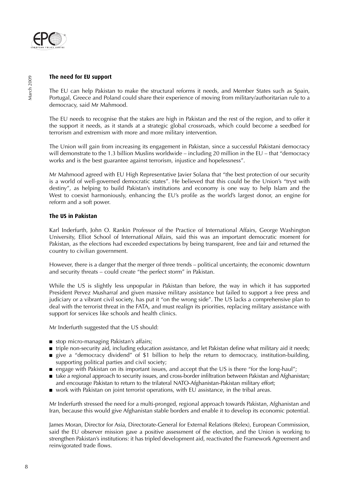

#### **The need for EU support**

The EU can help Pakistan to make the structural reforms it needs, and Member States such as Spain, Portugal, Greece and Poland could share their experience of moving from military/authoritarian rule to a democracy, said Mr Mahmood.

The EU needs to recognise that the stakes are high in Pakistan and the rest of the region, and to offer it the support it needs, as it stands at a strategic global crossroads, which could become a seedbed for terrorism and extremism with more and more military intervention.

The Union will gain from increasing its engagement in Pakistan, since a successful Pakistani democracy will demonstrate to the 1.3 billion Muslins worldwide – including 20 million in the EU – that "democracy works and is the best guarantee against terrorism, injustice and hopelessness".

Mr Mahmood agreed with EU High Representative Javier Solana that "the best protection of our security is a world of well-governed democratic states". He believed that this could be the Union's "tryst with destiny", as helping to build Pakistan's institutions and economy is one way to help Islam and the West to coexist harmoniously, enhancing the EU's profile as the world's largest donor, an engine for reform and a soft power.

#### **The US in Pakistan**

Karl Inderfurth, John O. Rankin Professor of the Practice of International Affairs, George Washington University, Elliot School of International Affairs, said this was an important democratic moment for Pakistan, as the elections had exceeded expectations by being transparent, free and fair and returned the country to civilian government.

However, there is a danger that the merger of three trends – political uncertainty, the economic downturn and security threats – could create "the perfect storm" in Pakistan.

While the US is slightly less unpopular in Pakistan than before, the way in which it has supported President Pervez Musharraf and given massive military assistance but failed to support a free press and judiciary or a vibrant civil society, has put it "on the wrong side". The US lacks a comprehensive plan to deal with the terrorist threat in the FATA, and must realign its priorities, replacing military assistance with support for services like schools and health clinics.

Mr Inderfurth suggested that the US should:

- stop micro-managing Pakistan's affairs;
- triple non-security aid, including education assistance, and let Pakistan define what military aid it needs;
- give a "democracy dividend" of \$1 billion to help the return to democracy, institution-building, supporting political parties and civil society;
- engage with Pakistan on its important issues, and accept that the US is there "for the long-haul";
- take a regional approach to security issues, and cross-border infiltration between Pakistan and Afghanistan; and encourage Pakistan to return to the trilateral NATO-Afghanistan-Pakistan military effort;
- work with Pakistan on joint terrorist operations, with EU assistance, in the tribal areas.

Mr Inderfurth stressed the need for a multi-pronged, regional approach towards Pakistan, Afghanistan and Iran, because this would give Afghanistan stable borders and enable it to develop its economic potential.

James Moran, Director for Asia, Directorate-General for External Relations (Relex), European Commission, said the EU observer mission gave a positive assessment of the election, and the Union is working to strengthen Pakistan's institutions: it has tripled development aid, reactivated the Framework Agreement and reinvigorated trade flows.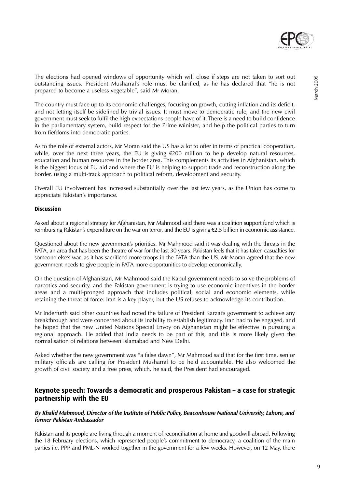

The country must face up to its economic challenges, focusing on growth, cutting inflation and its deficit, and not letting itself be sidelined by trivial issues. It must move to democratic rule, and the new civil government must seek to fulfil the high expectations people have of it. There is a need to build confidence in the parliamentary system, build respect for the Prime Minister, and help the political parties to turn from fiefdoms into democratic parties.

As to the role of external actors, Mr Moran said the US has a lot to offer in terms of practical cooperation, while, over the next three years, the EU is giving €200 million to help develop natural resources, education and human resources in the border area. This complements its activities in Afghanistan, which is the biggest focus of EU aid and where the EU is helping to support trade and reconstruction along the border, using a multi-track approach to political reform, development and security.

Overall EU involvement has increased substantially over the last few years, as the Union has come to appreciate Pakistan's importance.

#### **Discussion**

Asked about a regional strategy for Afghanistan, Mr Mahmood said there was a coalition support fund which is reimbursing Pakistan's expenditure on the war on terror, and the EU is giving €2.5 billion in economic assistance.

Questioned about the new government's priorities. Mr Mahmood said it was dealing with the threats in the FATA, an area that has been the theatre of war for the last 30 years. Pakistan feels that it has taken casualties for someone else's war, as it has sacrificed more troops in the FATA than the US. Mr Moran agreed that the new government needs to give people in FATA more opportunities to develop economically.

On the question of Afghanistan, Mr Mahmood said the Kabul government needs to solve the problems of narcotics and security, and the Pakistan government is trying to use economic incentives in the border areas and a multi-pronged approach that includes political, social and economic elements, while retaining the threat of force. Iran is a key player, but the US refuses to acknowledge its contribution.

Mr Inderfurth said other countries had noted the failure of President Karzai's government to achieve any breakthrough and were concerned about its inability to establish legitimacy. Iran had to be engaged, and he hoped that the new United Nations Special Envoy on Afghanistan might be effective in pursuing a regional approach. He added that India needs to be part of this, and this is more likely given the normalisation of relations between Islamabad and New Delhi.

Asked whether the new government was "a false dawn", Mr Mahmood said that for the first time, senior military officials are calling for President Musharraf to be held accountable. He also welcomed the growth of civil society and a free press, which, he said, the President had encouraged.

### **Keynote speech: Towards a democratic and prosperous Pakistan – a case for strategic partnership with the EU**

#### **By Khalid Mahmood, Director of the Institute of Public Policy, Beaconhouse National University, Lahore, and former Pakistan Ambassador**

Pakistan and its people are living through a moment of reconciliation at home and goodwill abroad. Following the 18 February elections, which represented people's commitment to democracy, a coalition of the main parties i.e. PPP and PML-N worked together in the government for a few weeks. However, on 12 May, there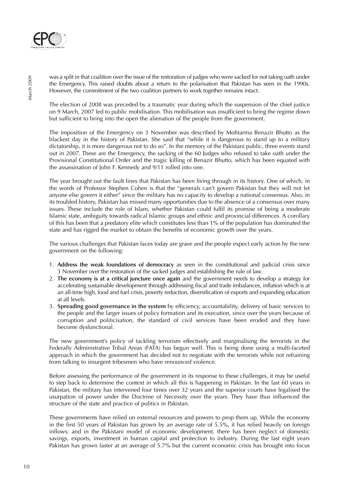

was a split in that coalition over the issue of the restoration of judges who were sacked for not taking oath under the Emergency. This raised doubts about a return to the polarisation that Pakistan has seen in the 1990s. However, the commitment of the two coalition partners to work together remains intact.

The election of 2008 was preceded by a traumatic year during which the suspension of the chief justice on 9 March, 2007 led to public mobilisation. This mobilisation was insufficient to bring the regime down but sufficient to bring into the open the alienation of the people from the government.

The imposition of the Emergency on 3 November was described by Mohtarma Benazir Bhutto as the blackest day in the history of Pakistan. She said that "while it is dangerous to stand up to a military dictatorship, it is more dangerous not to do so". In the memory of the Pakistani public, three events stand out in 2007. These are the Emergency, the sacking of the 60 Judges who refused to take oath under the Provisional Constitutional Order and the tragic killing of Benazir Bhutto, which has been equated with the assassination of John F. Kennedy and 9/11 rolled into one.

The year brought out the fault lines that Pakistan has been living through in its history. One of which, in the words of Professor Stephen Cohen is that the "generals can't govern Pakistan but they will not let anyone else govern it either" since the military has no capacity to develop a national consensus. Also, in its troubled history, Pakistan has missed many opportunities due to the absence of a consensus over many issues. These include the role of Islam, whether Pakistan could fulfil its promise of being a moderate Islamic state, ambiguity towards radical Islamic groups and ethnic and provincial differences. A corollary of this has been that a predatory elite which constitutes less than 1% of the population has dominated the state and has rigged the market to obtain the benefits of economic growth over the years.

The various challenges that Pakistan faces today are grave and the people expect early action by the new government on the following:

- 1. **Address the weak foundations of democracy** as seen in the constitutional and judicial crisis since 3 November over the restoration of the sacked judges and establishing the rule of law.
- 2. **The economy is at a critical juncture once again** and the government needs to develop a strategy for accelerating sustainable development through addressing fiscal and trade imbalances, inflation which is at an all-time high, food and fuel crisis, poverty reduction, diversification of exports and expanding education at all levels.
- 3. **Spreading good governance in the system** by efficiency, accountability, delivery of basic services to the people and the larger issues of policy formation and its execution, since over the years because of corruption and politicisation, the standard of civil services have been eroded and they have become dysfunctional.

The new government's policy of tackling terrorism effectively and marginalising the terrorists in the Federally Administrative Tribal Areas (FATA) has begun well. This is being done using a multi-faceted approach in which the government has decided not to negotiate with the terrorists while not refraining from talking to insurgent tribesmen who have renounced violence.

Before assessing the performance of the government in its response to these challenges, it may be useful to step back to determine the context in which all this is happening in Pakistan. In the last 60 years in Pakistan, the military has intervened four times over 32 years and the superior courts have legalised the usurpation of power under the Doctrine of Necessity over the years. They have thus influenced the structure of the state and practice of politics in Pakistan.

These governments have relied on external resources and powers to prop them up. While the economy in the first 50 years of Pakistan has grown by an average rate of 5.5%, it has relied heavily on foreign inflows; and in the Pakistani model of economic development, there has been neglect of domestic savings, exports, investment in human capital and protection to industry. During the last eight years Pakistan has grown faster at an average of 5.7% but the current economic crisis has brought into focus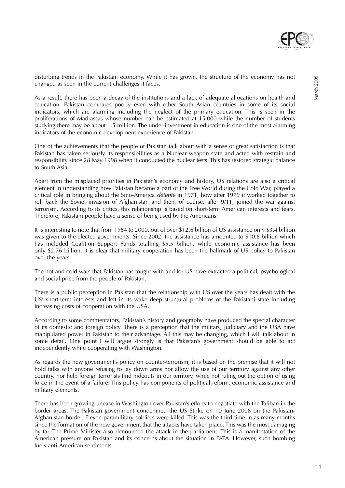

As a result, there has been a decay of the institutions and a lack of adequate allocations on health and education. Pakistan compares poorly even with other South Asian countries in some of its social indicators, which are alarming including the neglect of the primary education. This is seen in the proliferations of Madrassas whose number can be estimated at 15,000 while the number of students studying there may be about 1.5 million. The under-investment in education is one of the most alarming indicators of the economic development experience of Pakistan.

One of the achievements that the people of Pakistan talk about with a sense of great satisfaction is that Pakistan has taken seriously its responsibilities as a Nuclear weapon state and acted with restrain and responsibility since 28 May 1998 when it conducted the nuclear tests. This has restored strategic balance to South Asia.

Apart from the misplaced priorities in Pakistan's economy and history, US relations are also a critical element in understanding how Pakistan became a part of the Free World during the Cold War, played a critical role in bringing about the Sino-America détente in 1971, how after 1979 it worked together to roll back the Soviet invasion of Afghanistan and then, of course, after 9/11, joined the war against terrorism. According to its critics, this relationship is based on short-term American interests and fears. Therefore, Pakistani people have a sense of being used by the Americans.

It is interesting to note that from 1954 to 2000, out of over \$12.6 billion of US assistance only \$3.4 billion was given to the elected governments. Since 2002, the assistance has amounted to \$10.8 billion which has included Coalition Support Funds totalling \$5.5 billion, while economic assistance has been only \$2.76 billion. It is clear that military cooperation has been the hallmark of US policy to Pakistan over the years.

The hot and cold wars that Pakistan has fought with and for US have extracted a political, psychological and social price from the people of Pakistan.

There is a public perception in Pakistan that the relationship with US over the years has dealt with the US' short-term interests and left in its wake deep structural problems of the Pakistani state including increasing costs of cooperation with the USA.

According to some commentators, Pakistan's history and geography have produced the special character of its domestic and foreign policy. There is a perception that the military, judiciary and the USA have manipulated power in Pakistan to their advantage. All this may be changing, which I will talk about in some detail. One point I will argue strongly is that Pakistan's government should be able to act independently while cooperating with Washington.

As regards the new government's policy on counter-terrorism, it is based on the premise that it will not hold talks with anyone refusing to lay down arms nor allow the use of our territory against any other country, nor help foreign terrorists find hideouts in our territory, while not ruling out the option of using force in the event of a failure. This policy has components of political reform, economic assistance and military elements.

There has been growing unease in Washington over Pakistan's efforts to negotiate with the Taliban in the border areas. The Pakistan government condemned the US Strike on 10 June 2008 on the Pakistan-Afghanistan border. Eleven paramilitary soldiers were killed. This was the third time in as many months since the formation of the new government that the attacks have taken place. This was the most damaging by far. The Prime Minister also denounced the attack in the parliament. This is a manifestation of the American pressure on Pakistan and its concerns about the situation in FATA. However, such bombing fuels anti-American sentiments.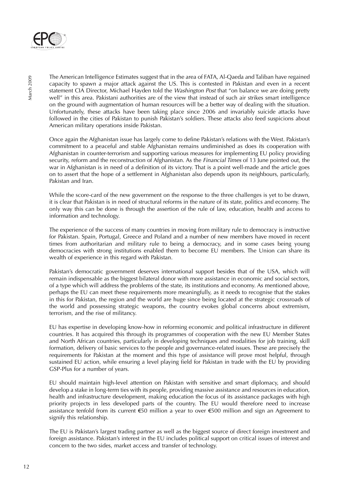

The American Intelligence Estimates suggest that in the area of FATA, Al-Qaeda and Taliban have regained capacity to spawn a major attack against the US. This is contested in Pakistan and even in a recent statement CIA Director, Michael Hayden told the *Washington Post* that "on balance we are doing pretty well" in this area. Pakistani authorities are of the view that instead of such air strikes smart intelligence on the ground with augmentation of human resources will be a better way of dealing with the situation. Unfortunately, these attacks have been taking place since 2006 and invariably suicide attacks have followed in the cities of Pakistan to punish Pakistan's soldiers. These attacks also feed suspicions about American military operations inside Pakistan.

Once again the Afghanistan issue has largely come to define Pakistan's relations with the West. Pakistan's commitment to a peaceful and stable Afghanistan remains undiminished as does its cooperation with Afghanistan in counter-terrorism and supporting various measures for implementing EU policy providing security, reform and the reconstruction of Afghanistan. As the *Financial Times* of 13 June pointed out, the war in Afghanistan is in need of a definition of its victory. That is a point well-made and the article goes on to assert that the hope of a settlement in Afghanistan also depends upon its neighbours, particularly, Pakistan and Iran.

While the score-card of the new government on the response to the three challenges is yet to be drawn, it is clear that Pakistan is in need of structural reforms in the nature of its state, politics and economy. The only way this can be done is through the assertion of the rule of law, education, health and access to information and technology.

The experience of the success of many countries in moving from military rule to democracy is instructive for Pakistan. Spain, Portugal, Greece and Poland and a number of new members have moved in recent times from authoritarian and military rule to being a democracy, and in some cases being young democracies with strong institutions enabled them to become EU members. The Union can share its wealth of experience in this regard with Pakistan.

Pakistan's democratic government deserves international support besides that of the USA, which will remain indispensable as the biggest bilateral donor with more assistance in economic and social sectors, of a type which will address the problems of the state, its institutions and economy. As mentioned above, perhaps the EU can meet these requirements more meaningfully, as it needs to recognise that the stakes in this for Pakistan, the region and the world are huge since being located at the strategic crossroads of the world and possessing strategic weapons, the country evokes global concerns about extremism, terrorism, and the rise of militancy.

EU has expertise in developing know-how in reforming economic and political infrastructure in different countries. It has acquired this through its programmes of cooperation with the new EU Member States and North African countries, particularly in developing techniques and modalities for job training, skill formation, delivery of basic services to the people and governance-related issues. These are precisely the requirements for Pakistan at the moment and this type of assistance will prove most helpful, through sustained EU action, while ensuring a level playing field for Pakistan in trade with the EU by providing GSP-Plus for a number of years.

EU should maintain high-level attention on Pakistan with sensitive and smart diplomacy, and should develop a stake in long-term ties with its people, providing massive assistance and resources in education, health and infrastructure development, making education the focus of its assistance packages with high priority projects in less developed parts of the country. The EU would therefore need to increase assistance tenfold from its current €50 million a year to over €500 million and sign an Agreement to signify this relationship.

The EU is Pakistan's largest trading partner as well as the biggest source of direct foreign investment and foreign assistance. Pakistan's interest in the EU includes political support on critical issues of interest and concern to the two sides, market access and transfer of technology.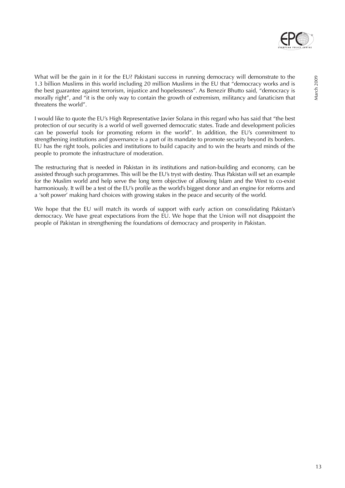

March 2009

What will be the gain in it for the EU? Pakistani success in running democracy will demonstrate to the 1.3 billion Muslims in this world including 20 million Muslims in the EU that "democracy works and is the best guarantee against terrorism, injustice and hopelessness". As Benezir Bhutto said, "democracy is morally right", and "it is the only way to contain the growth of extremism, militancy and fanaticism that threatens the world".

I would like to quote the EU's High Representative Javier Solana in this regard who has said that "the best protection of our security is a world of well governed democratic states. Trade and development policies can be powerful tools for promoting reform in the world". In addition, the EU's commitment to strengthening institutions and governance is a part of its mandate to promote security beyond its borders. EU has the right tools, policies and institutions to build capacity and to win the hearts and minds of the people to promote the infrastructure of moderation.

The restructuring that is needed in Pakistan in its institutions and nation-building and economy, can be assisted through such programmes. This will be the EU's tryst with destiny. Thus Pakistan will set an example for the Muslim world and help serve the long term objective of allowing Islam and the West to co-exist harmoniously. It will be a test of the EU's profile as the world's biggest donor and an engine for reforms and a 'soft power' making hard choices with growing stakes in the peace and security of the world.

We hope that the EU will match its words of support with early action on consolidating Pakistan's democracy. We have great expectations from the EU. We hope that the Union will not disappoint the people of Pakistan in strengthening the foundations of democracy and prosperity in Pakistan.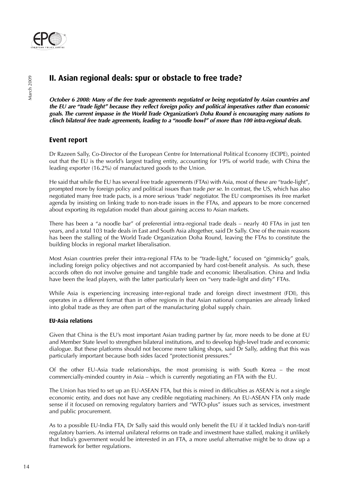

## **II. Asian regional deals: spur or obstacle to free trade?**

**October 6 2008: Many of the free trade agreements negotiated or being negotiated by Asian countries and the EU are "trade light" because they reflect foreign policy and political imperatives rather than economic goals. The current impasse in the World Trade Organization's Doha Round is encouraging many nations to clinch bilateral free trade agreements, leading to a "noodle bowl" of more than 100 intra-regional deals.** 

## **Event report**

Dr Razeen Sally, Co-Director of the European Centre for International Political Economy (ECIPE), pointed out that the EU is the world's largest trading entity, accounting for 19% of world trade, with China the leading exporter (16.2%) of manufactured goods to the Union.

He said that while the EU has several free trade agreements (FTAs) with Asia, most of these are "trade-light", prompted more by foreign policy and political issues than trade *per se*. In contrast, the US, which has also negotiated many free trade pacts, is a more serious 'trade' negotiator. The EU compromises its free market agenda by insisting on linking trade to non-trade issues in the FTAs, and appears to be more concerned about exporting its regulation model than about gaining access to Asian markets.

There has been a "a noodle bar" of preferential intra-regional trade deals – nearly 40 FTAs in just ten years, and a total 103 trade deals in East and South Asia altogether, said Dr Sally. One of the main reasons has been the stalling of the World Trade Organization Doha Round, leaving the FTAs to constitute the building blocks in regional market liberalisation.

Most Asian countries prefer their intra-regional FTAs to be "trade-light," focused on "gimmicky" goals, including foreign policy objectives and not accompanied by hard cost-benefit analysis. As such, these accords often do not involve genuine and tangible trade and economic liberalisation. China and India have been the lead players, with the latter particularly keen on "very trade-light and dirty" FTAs.

While Asia is experiencing increasing inter-regional trade and foreign direct investment (FDI), this operates in a different format than in other regions in that Asian national companies are already linked into global trade as they are often part of the manufacturing global supply chain.

#### **EU-Asia relations**

Given that China is the EU's most important Asian trading partner by far, more needs to be done at EU and Member State level to strengthen bilateral institutions, and to develop high-level trade and economic dialogue. But these platforms should not become mere talking shops, said Dr Sally, adding that this was particularly important because both sides faced "protectionist pressures."

Of the other EU-Asia trade relationships, the most promising is with South Korea – the most commercially-minded country in Asia – which is currently negotiating an FTA with the EU.

The Union has tried to set up an EU-ASEAN FTA, but this is mired in difficulties as ASEAN is not a single economic entity, and does not have any credible negotiating machinery. An EU-ASEAN FTA only made sense if it focused on removing regulatory barriers and "WTO-plus" issues such as services, investment and public procurement.

As to a possible EU-India FTA, Dr Sally said this would only benefit the EU if it tackled India's non-tariff regulatory barriers. As internal unilateral reforms on trade and investment have stalled, making it unlikely that India's government would be interested in an FTA, a more useful alternative might be to draw up a framework for better regulations.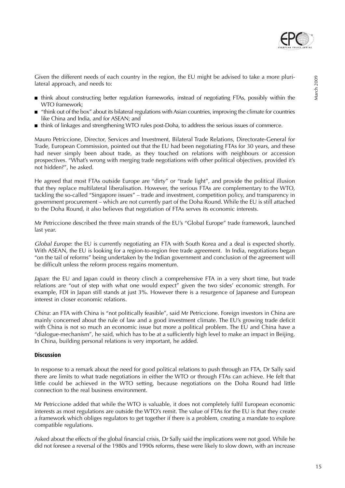

- think about constructing better regulation frameworks, instead of negotiating FTAs, possibly within the WTO framework;
- "think out of the box" about its bilateral regulations with Asian countries, improving the climate for countries like China and India, and for ASEAN; and
- think of linkages and strengthening WTO rules post-Doha, to address the serious issues of commerce.

Mauro Petriccione, Director, Services and Investment, Bilateral Trade Relations, Directorate-General for Trade, European Commission, pointed out that the EU had been negotiating FTAs for 30 years, and these had never simply been about trade, as they touched on relations with neighbours or accession prospectives. "What's wrong with merging trade negotiations with other political objectives, provided it's not hidden?", he asked.

He agreed that most FTAs outside Europe are "dirty" or "trade light", and provide the political illusion that they replace multilateral liberalisation. However, the serious FTAs are complementary to the WTO, tackling the so-called "Singapore issues" – trade and investment, competition policy, and transparency in government procurement – which are not currently part of the Doha Round. While the EU is still attached to the Doha Round, it also believes that negotiation of FTAs serves its economic interests.

Mr Petriccione described the three main strands of the EU's "Global Europe" trade framework, launched last year.

Global Europe: the EU is currently negotiating an FTA with South Korea and a deal is expected shortly. With ASEAN, the EU is looking for a region-to-region free trade agreement. In India, negotiations began "on the tail of reforms" being undertaken by the Indian government and conclusion of the agreement will be difficult unless the reform process regains momentum.

Japan: the EU and Japan could in theory clinch a comprehensive FTA in a very short time, but trade relations are "out of step with what one would expect" given the two sides' economic strength. For example, FDI in Japan still stands at just 3%. However there is a resurgence of Japanese and European interest in closer economic relations.

China: an FTA with China is "not politically feasible", said Mr Petriccione. Foreign investors in China are mainly concerned about the rule of law and a good investment climate. The EU's growing trade deficit with China is not so much an economic issue but more a political problem. The EU and China have a "dialogue-mechanism", he said, which has to be at a sufficiently high level to make an impact in Beijing. In China, building personal relations is very important, he added.

#### **Discussion**

In response to a remark about the need for good political relations to push through an FTA, Dr Sally said there are limits to what trade negotiations in either the WTO or through FTAs can achieve. He felt that little could be achieved in the WTO setting, because negotiations on the Doha Round had little connection to the real business environment.

Mr Petriccione added that while the WTO is valuable, it does not completely fulfil European economic interests as most regulations are outside the WTO's remit. The value of FTAs for the EU is that they create a framework which obliges regulators to get together if there is a problem, creating a mandate to explore compatible regulations.

Asked about the effects of the global financial crisis, Dr Sally said the implications were not good. While he did not foresee a reversal of the 1980s and 1990s reforms, these were likely to slow down, with an increase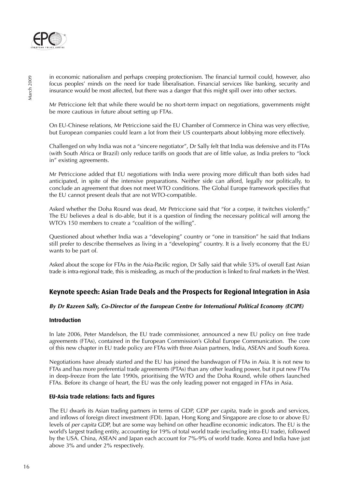

in economic nationalism and perhaps creeping protectionism. The financial turmoil could, however, also focus peoples' minds on the need for trade liberalisation. Financial services like banking, security and insurance would be most affected, but there was a danger that this might spill over into other sectors.

Mr Petriccione felt that while there would be no short-term impact on negotiations, governments might be more cautious in future about setting up FTAs.

On EU-Chinese relations, Mr Petriccione said the EU Chamber of Commerce in China was very effective, but European companies could learn a lot from their US counterparts about lobbying more effectively.

Challenged on why India was not a "sincere negotiator", Dr Sally felt that India was defensive and its FTAs (with South Africa or Brazil) only reduce tariffs on goods that are of little value, as India prefers to "lock in" existing agreements.

Mr Petriccione added that EU negotiations with India were proving more difficult than both sides had anticipated, in spite of the intensive preparations. Neither side can afford, legally nor politically, to conclude an agreement that does not meet WTO conditions. The Global Europe framework specifies that the EU cannot present deals that are not WTO-compatible.

Asked whether the Doha Round was dead, Mr Petriccione said that "for a corpse, it twitches violently." The EU believes a deal is do-able, but it is a question of finding the necessary political will among the WTO's 150 members to create a "coalition of the willing".

Questioned about whether India was a "developing" country or "one in transition" he said that Indians still prefer to describe themselves as living in a "developing" country. It is a lively economy that the EU wants to be part of.

Asked about the scope for FTAs in the Asia-Pacific region, Dr Sally said that while 53% of overall East Asian trade is intra-regional trade, this is misleading, as much of the production is linked to final markets in the West.

## **Keynote speech: Asian Trade Deals and the Prospects for Regional Integration in Asia**

#### **By Dr Razeen Sally, Co-Director of the European Centre for International Political Economy (ECIPE)**

#### **Introduction**

In late 2006, Peter Mandelson, the EU trade commissioner, announced a new EU policy on free trade agreements (FTAs), contained in the European Commission's Global Europe Communication. The core of this new chapter in EU trade policy are FTAs with three Asian partners, India, ASEAN and South Korea.

Negotiations have already started and the EU has joined the bandwagon of FTAs in Asia. It is not new to FTAs and has more preferential trade agreements (PTAs) than any other leading power, but it put new FTAs in deep-freeze from the late 1990s, prioritising the WTO and the Doha Round, while others launched FTAs. Before its change of heart, the EU was the only leading power not engaged in FTAs in Asia.

#### **EU-Asia trade relations: facts and figures**

The EU dwarfs its Asian trading partners in terms of GDP, GDP per capita, trade in goods and services, and inflows of foreign direct investment (FDI). Japan, Hong Kong and Singapore are close to or above EU levels of per capita GDP, but are some way behind on other headline economic indicators. The EU is the world's largest trading entity, accounting for 19% of total world trade (excluding intra-EU trade), followed by the USA. China, ASEAN and Japan each account for 7%-9% of world trade. Korea and India have just above 3% and under 2% respectively.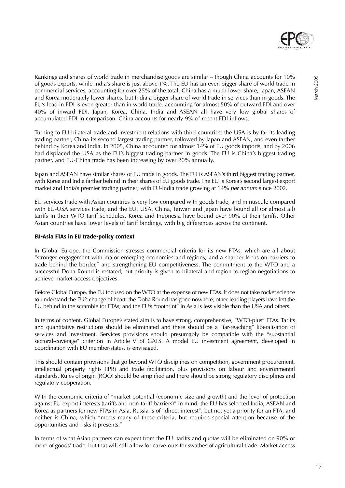

Rankings and shares of world trade in merchandise goods are similar – though China accounts for 10% of goods exports, while India's share is just above 1%. The EU has an even bigger share of world trade in commercial services, accounting for over 25% of the total. China has a much lower share; Japan, ASEAN and Korea moderately lower shares, but India a bigger share of world trade in services than in goods. The EU's lead in FDI is even greater than in world trade, accounting for almost 50% of outward FDI and over 40% of inward FDI. Japan, Korea, China, India and ASEAN all have very low global shares of

Turning to EU bilateral trade-and-investment relations with third countries: the USA is by far its leading trading partner, China its second largest trading partner, followed by Japan and ASEAN, and even farther behind by Korea and India. In 2005, China accounted for almost 14% of EU goods imports, and by 2006 had displaced the USA as the EU's biggest trading partner in goods. The EU is China's biggest trading partner, and EU-China trade has been increasing by over 20% annually.

accumulated FDI in comparison. China accounts for nearly 9% of recent FDI inflows.

Japan and ASEAN have similar shares of EU trade in goods. The EU is ASEAN's third biggest trading partner, with Korea and India farther behind in their shares of EU goods trade. The EU is Korea's second largest export market and India's premier trading partner; with EU-India trade growing at 14% per annum since 2002.

EU services trade with Asian countries is very low compared with goods trade, and minuscule compared with EU-USA services trade, and the EU, USA, China, Taiwan and Japan have bound all (or almost all) tariffs in their WTO tariff schedules. Korea and Indonesia have bound over 90% of their tariffs. Other Asian countries have lower levels of tariff bindings, with big differences across the continent.

#### **EU-Asia FTAs in EU trade-policy context**

In Global Europe, the Commission stresses commercial criteria for its new FTAs, which are all about "stronger engagement with major emerging economies and regions; and a sharper focus on barriers to trade behind the border," and strengthening EU competitiveness. The commitment to the WTO and a successful Doha Round is restated, but priority is given to bilateral and region-to-region negotiations to achieve market-access objectives.

Before Global Europe, the EU focused on the WTO at the expense of new FTAs. It does not take rocket science to understand the EU's change of heart: the Doha Round has gone nowhere; other leading players have left the EU behind in the scramble for FTAs; and the EU's "footprint" in Asia is less visible than the USA and others.

In terms of content, Global Europe's stated aim is to have strong, comprehensive, "WTO-plus" FTAs. Tariffs and quantitative restrictions should be eliminated and there should be a "far-reaching" liberalisation of services and investment. Services provisions should presumably be compatible with the "substantial sectoral-coverage" criterion in Article V of GATS. A model EU investment agreement, developed in coordination with EU member-states, is envisaged.

This should contain provisions that go beyond WTO disciplines on competition, government procurement, intellectual property rights (IPR) and trade facilitation, plus provisions on labour and environmental standards. Rules of origin (ROO) should be simplified and there should be strong regulatory disciplines and regulatory cooperation.

With the economic criteria of "market potential (economic size and growth) and the level of protection against EU export interests (tariffs and non-tariff barriers)" in mind, the EU has selected India, ASEAN and Korea as partners for new FTAs in Asia. Russia is of "direct interest", but not yet a priority for an FTA, and neither is China, which "meets many of these criteria, but requires special attention because of the opportunities and risks it presents."

In terms of what Asian partners can expect from the EU: tariffs and quotas will be eliminated on 90% or more of goods' trade, but that will still allow for carve-outs for swathes of agricultural trade. Market access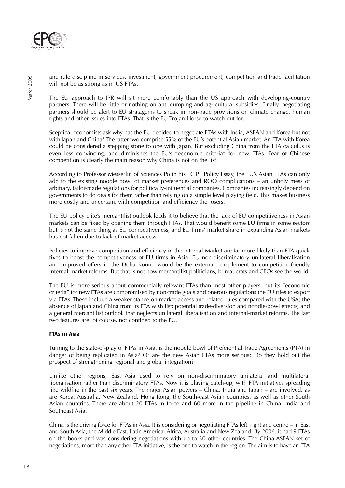

and rule discipline in services, investment, government procurement, competition and trade facilitation will not be as strong as in US FTAs.

The EU approach to IPR will sit more comfortably than the US approach with developing-country partners. There will be little or nothing on anti-dumping and agricultural subsidies. Finally, negotiating partners should be alert to EU stratagems to sneak in non-trade provisions on climate change, human rights and other issues into FTAs. That is the EU Trojan Horse to watch out for.

Sceptical economists ask why has the EU decided to negotiate FTAs with India, ASEAN and Korea but not with Japan and China? The latter two comprise 55% of the EU's potential Asian market. An FTA with Korea could be considered a stepping stone to one with Japan. But excluding China from the FTA calculus is even less convincing, and diminishes the EU's "economic criteria" for new FTAs. Fear of Chinese competition is clearly the main reason why China is not on the list.

According to Professor Messerlin of Sciences Po in his ECIPE Policy Essay, the EU's Asian FTAs can only add to the existing noodle bowl of market preferences and ROO complications – an unholy mess of arbitrary, tailor-made regulations for politically-influential companies. Companies increasingly depend on governments to do deals for them rather than relying on a simple level playing field. This makes business more costly and uncertain, with competition and efficiency the losers.

The EU policy elite's mercantilist outlook leads it to believe that the lack of EU competitiveness in Asian markets can be fixed by opening them through FTAs. That would benefit some EU firms in some sectors but is not the same thing as EU competitiveness, and EU firms' market share in expanding Asian markets has not fallen due to lack of market access.

Policies to improve competition and efficiency in the Internal Market are far more likely than FTA quick fixes to boost the competitiveness of EU firms in Asia. EU non-discriminatory unilateral liberalisation and improved offers in the Doha Round would be the external complement to competition-friendly internal-market reforms. But that is not how mercantilist politicians, bureaucrats and CEOs see the world.

The EU is more serious about commercially-relevant FTAs than most other players, but its "economic criteria" for new FTAs are compromised by non-trade goals and onerous regulations the EU tries to export via FTAs. These include a weaker stance on market access and related rules compared with the USA; the absence of Japan and China from its FTA wish list; potential trade-diversion and noodle-bowl effects; and a general mercantilist outlook that neglects unilateral liberalisation and internal-market reforms. The last two features are, of course, not confined to the EU.

#### **FTAs in Asia**

Turning to the state-of-play of FTAs in Asia, is the noodle bowl of Preferential Trade Agreements (PTA) in danger of being replicated in Asia? Or are the new Asian FTAs more serious? Do they hold out the prospect of strengthening regional and global integration?

Unlike other regions, East Asia used to rely on non-discriminatory unilateral and multilateral liberalisation rather than discriminatory FTAs. Now it is playing catch-up, with FTA initiatives spreading like wildfire in the past six years. The major Asian powers – China, India and Japan – are involved, as are Korea, Australia, New Zealand, Hong Kong, the South-east Asian countries, as well as other South Asian countries. There are about 20 FTAs in force and 60 more in the pipeline in China, India and Southeast Asia.

China is the driving force for FTAs in Asia. It is considering or negotiating FTAs left, right and centre – in East and South Asia, the Middle East, Latin America, Africa, Australia and New Zealand. By 2006, it had 9 FTAs on the books and was considering negotiations with up to 30 other countries. The China-ASEAN set of negotiations, more than any other FTA initiative, is the one to watch in the region. The aim is to have an FTA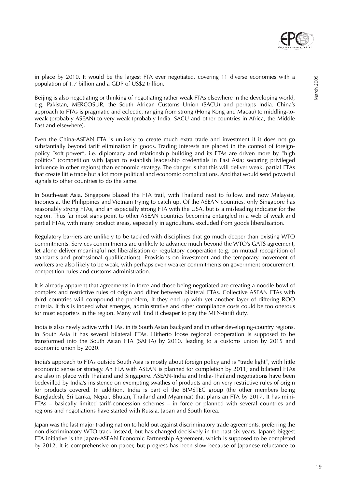

in place by 2010. It would be the largest FTA ever negotiated, covering 11 diverse economies with a population of 1.7 billion and a GDP of US\$2 trillion.

Beijing is also negotiating or thinking of negotiating rather weak FTAs elsewhere in the developing world, e.g. Pakistan, MERCOSUR, the South African Customs Union (SACU) and perhaps India. China's approach to FTAs is pragmatic and eclectic, ranging from strong (Hong Kong and Macau) to middling-toweak (probably ASEAN) to very weak (probably India, SACU and other countries in Africa, the Middle East and elsewhere).

Even the China-ASEAN FTA is unlikely to create much extra trade and investment if it does not go substantially beyond tariff elimination in goods. Trading interests are placed in the context of foreignpolicy "soft power", i.e. diplomacy and relationship building and its FTAs are driven more by "high politics" (competition with Japan to establish leadership credentials in East Asia; securing privileged influence in other regions) than economic strategy. The danger is that this will deliver weak, partial FTAs that create little trade but a lot more political and economic complications. And that would send powerful signals to other countries to do the same.

In South-east Asia, Singapore blazed the FTA trail, with Thailand next to follow, and now Malaysia, Indonesia, the Philippines and Vietnam trying to catch up. Of the ASEAN countries, only Singapore has reasonably strong FTAs, and an especially strong FTA with the USA, but is a misleading indicator for the region. Thus far most signs point to other ASEAN countries becoming entangled in a web of weak and partial FTAs, with many product areas, especially in agriculture, excluded from goods liberalisation.

Regulatory barriers are unlikely to be tackled with disciplines that go much deeper than existing WTO commitments. Services commitments are unlikely to advance much beyond the WTO's GATS agreement, let alone deliver meaningful net liberalisation or regulatory cooperation (e.g. on mutual recognition of standards and professional qualifications). Provisions on investment and the temporary movement of workers are also likely to be weak, with perhaps even weaker commitments on government procurement, competition rules and customs administration.

It is already apparent that agreements in force and those being negotiated are creating a noodle bowl of complex and restrictive rules of origin and differ between bilateral FTAs. Collective ASEAN FTAs with third countries will compound the problem, if they end up with yet another layer of differing ROO criteria. If this is indeed what emerges, administrative and other compliance costs could be too onerous for most exporters in the region. Many will find it cheaper to pay the MFN-tariff duty.

India is also newly active with FTAs, in its South Asian backyard and in other developing-country regions. In South Asia it has several bilateral FTAs. Hitherto loose regional cooperation is supposed to be transformed into the South Asian FTA (SAFTA) by 2010, leading to a customs union by 2015 and economic union by 2020.

India's approach to FTAs outside South Asia is mostly about foreign policy and is "trade light", with little economic sense or strategy. An FTA with ASEAN is planned for completion by 2011; and bilateral FTAs are also in place with Thailand and Singapore. ASEAN-India and India-Thailand negotiations have been bedevilled by India's insistence on exempting swathes of products and on very restrictive rules of origin for products covered. In addition, India is part of the BIMSTEC group (the other members being Bangladesh, Sri Lanka, Nepal, Bhutan, Thailand and Myanmar) that plans an FTA by 2017. It has mini-FTAs – basically limited tariff-concession schemes – in force or planned with several countries and regions and negotiations have started with Russia, Japan and South Korea.

Japan was the last major trading nation to hold out against discriminatory trade agreements, preferring the non-discriminatory WTO track instead, but has changed decisively in the past six years. Japan's biggest FTA initiative is the Japan-ASEAN Economic Partnership Agreement, which is supposed to be completed by 2012. It is comprehensive on paper, but progress has been slow because of Japanese reluctance to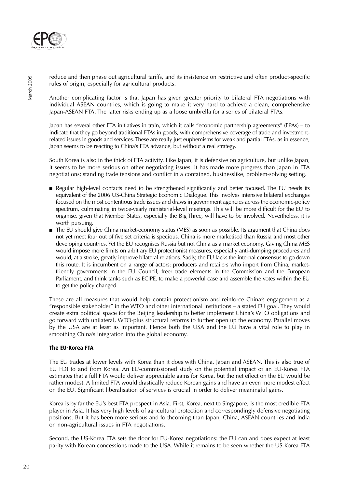

reduce and then phase out agricultural tariffs, and its insistence on restrictive and often product-specific rules of origin, especially for agricultural products.

Another complicating factor is that Japan has given greater priority to bilateral FTA negotiations with individual ASEAN countries, which is going to make it very hard to achieve a clean, comprehensive Japan-ASEAN FTA. The latter risks ending up as a loose umbrella for a series of bilateral FTAs.

Japan has several other FTA initiatives in train, which it calls "economic partnership agreements" (EPAs) – to indicate that they go beyond traditional FTAs in goods, with comprehensive coverage of trade and investmentrelated issues in goods and services. These are really just euphemisms for weak and partial FTAs, as in essence, Japan seems to be reacting to China's FTA advance, but without a real strategy.

South Korea is also in the thick of FTA activity. Like Japan, it is defensive on agriculture, but unlike Japan, it seems to be more serious on other negotiating issues. It has made more progress than Japan in FTA negotiations; standing trade tensions and conflict in a contained, businesslike, problem-solving setting.

- Regular high-level contacts need to be strengthened significantly and better focused. The EU needs its equivalent of the 2006 US-China Strategic Economic Dialogue. This involves intensive bilateral exchanges focused on the most contentious trade issues and draws in government agencies across the economic-policy spectrum, culminating in twice-yearly ministerial-level meetings. This will be more difficult for the EU to organise, given that Member States, especially the Big Three, will have to be involved. Nevertheless, it is worth pursuing.
- The EU should give China market-economy status (MES) as soon as possible. Its argument that China does not yet meet four out of five set criteria is specious. China is more marketised than Russia and most other developing countries. Yet the EU recognises Russia but not China as a market economy. Giving China MES would impose more limits on arbitrary EU protectionist measures, especially anti-dumping procedures and would, at a stroke, greatly improve bilateral relations. Sadly, the EU lacks the internal consensus to go down this route. It is incumbent on a range of actors: producers and retailers who import from China, marketfriendly governments in the EU Council, freer trade elements in the Commission and the European Parliament, and think tanks such as ECIPE, to make a powerful case and assemble the votes within the EU to get the policy changed.

These are all measures that would help contain protectionism and reinforce China's engagement as a "responsible stakeholder" in the WTO and other international institutions – a stated EU goal. They would create extra political space for the Beijing leadership to better implement China's WTO obligations and go forward with unilateral, WTO-plus structural reforms to further open up the economy. Parallel moves by the USA are at least as important. Hence both the USA and the EU have a vital role to play in smoothing China's integration into the global economy.

#### **The EU-Korea FTA**

The EU trades at lower levels with Korea than it does with China, Japan and ASEAN. This is also true of EU FDI to and from Korea. An EU-commissioned study on the potential impact of an EU-Korea FTA estimates that a full FTA would deliver appreciable gains for Korea, but the net effect on the EU would be rather modest. A limited FTA would drastically reduce Korean gains and have an even more modest effect on the EU. Significant liberalisation of services is crucial in order to deliver meaningful gains.

Korea is by far the EU's best FTA prospect in Asia. First, Korea, next to Singapore, is the most credible FTA player in Asia. It has very high levels of agricultural protection and correspondingly defensive negotiating positions. But it has been more serious and forthcoming than Japan, China, ASEAN countries and India on non-agricultural issues in FTA negotiations.

Second, the US-Korea FTA sets the floor for EU-Korea negotiations: the EU can and does expect at least parity with Korean concessions made to the USA. While it remains to be seen whether the US-Korea FTA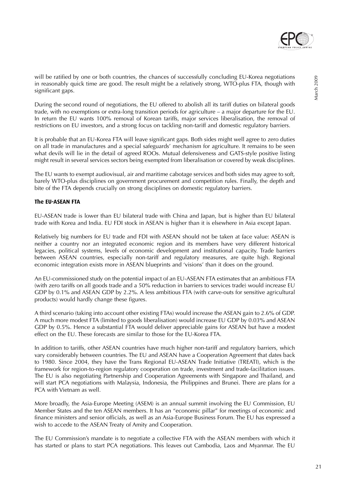

will be ratified by one or both countries, the chances of successfully concluding EU-Korea negotiations in reasonably quick time are good. The result might be a relatively strong, WTO-plus FTA, though with significant gaps.

During the second round of negotiations, the EU offered to abolish all its tariff duties on bilateral goods trade, with no exemptions or extra-long transition periods for agriculture – a major departure for the EU. In return the EU wants 100% removal of Korean tariffs, major services liberalisation, the removal of restrictions on EU investors, and a strong focus on tackling non-tariff and domestic regulatory barriers.

It is probable that an EU-Korea FTA will leave significant gaps. Both sides might well agree to zero duties on all trade in manufactures and a special safeguards' mechanism for agriculture. It remains to be seen what devils will lie in the detail of agreed ROOs. Mutual defensiveness and GATS-style positive listing might result in several services sectors being exempted from liberalisation or covered by weak disciplines.

The EU wants to exempt audiovisual, air and maritime cabotage services and both sides may agree to soft, barely WTO-plus disciplines on government procurement and competition rules. Finally, the depth and bite of the FTA depends crucially on strong disciplines on domestic regulatory barriers.

#### **The EU-ASEAN FTA**

EU-ASEAN trade is lower than EU bilateral trade with China and Japan, but is higher than EU bilateral trade with Korea and India. EU FDI stock in ASEAN is higher than it is elsewhere in Asia except Japan.

Relatively big numbers for EU trade and FDI with ASEAN should not be taken at face value: ASEAN is neither a country nor an integrated economic region and its members have very different historical legacies, political systems, levels of economic development and institutional capacity. Trade barriers between ASEAN countries, especially non-tariff and regulatory measures, are quite high. Regional economic integration exists more in ASEAN blueprints and 'visions' than it does on the ground.

An EU-commissioned study on the potential impact of an EU-ASEAN FTA estimates that an ambitious FTA (with zero tariffs on all goods trade and a 50% reduction in barriers to services trade) would increase EU GDP by 0.1% and ASEAN GDP by 2.2%. A less ambitious FTA (with carve-outs for sensitive agricultural products) would hardly change these figures.

A third scenario (taking into account other existing FTAs) would increase the ASEAN gain to 2.6% of GDP. A much more modest FTA (limited to goods liberalisation) would increase EU GDP by 0.03% and ASEAN GDP by 0.5%. Hence a substantial FTA would deliver appreciable gains for ASEAN but have a modest effect on the EU. These forecasts are similar to those for the EU-Korea FTA.

In addition to tariffs, other ASEAN countries have much higher non-tariff and regulatory barriers, which vary considerably between countries. The EU and ASEAN have a Cooperation Agreement that dates back to 1980. Since 2004, they have the Trans Regional EU-ASEAN Trade Initiative (TREATI), which is the framework for region-to-region regulatory cooperation on trade, investment and trade-facilitation issues. The EU is also negotiating Partnership and Cooperation Agreements with Singapore and Thailand, and will start PCA negotiations with Malaysia, Indonesia, the Philippines and Brunei. There are plans for a PCA with Vietnam as well.

More broadly, the Asia-Europe Meeting (ASEM) is an annual summit involving the EU Commission, EU Member States and the ten ASEAN members. It has an "economic pillar" for meetings of economic and finance ministers and senior officials, as well as an Asia-Europe Business Forum. The EU has expressed a wish to accede to the ASEAN Treaty of Amity and Cooperation.

The EU Commission's mandate is to negotiate a collective FTA with the ASEAN members with which it has started or plans to start PCA negotiations. This leaves out Cambodia, Laos and Myanmar. The EU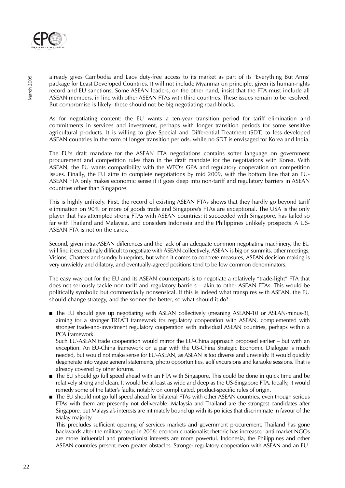

already gives Cambodia and Laos duty-free access to its market as part of its 'Everything But Arms' package for Least Developed Countries. It will not include Myanmar on principle, given its human-rights record and EU sanctions. Some ASEAN leaders, on the other hand, insist that the FTA must include all ASEAN members, in line with other ASEAN FTAs with third countries. These issues remain to be resolved. But compromise is likely: these should not be big negotiating road-blocks.

As for negotiating content: the EU wants a ten-year transition period for tariff elimination and commitments in services and investment, perhaps with longer transition periods for some sensitive agricultural products. It is willing to give Special and Differential Treatment (SDT) to less-developed ASEAN countries in the form of longer transition periods, while no SDT is envisaged for Korea and India.

The EU's draft mandate for the ASEAN FTA negotiations contains softer language on government procurement and competition rules than in the draft mandate for the negotiations with Korea. With ASEAN, the EU wants compatibility with the WTO's GPA and regulatory cooperation on competition issues. Finally, the EU aims to complete negotiations by mid 2009, with the bottom line that an EU-ASEAN FTA only makes economic sense if it goes deep into non-tariff and regulatory barriers in ASEAN countries other than Singapore.

This is highly unlikely. First, the record of existing ASEAN FTAs shows that they hardly go beyond tariff elimination on 90% or more of goods trade and Singapore's FTAs are exceptional. The USA is the only player that has attempted strong FTAs with ASEAN countries: it succeeded with Singapore, has failed so far with Thailand and Malaysia, and considers Indonesia and the Philippines unlikely prospects. A US-ASEAN FTA is not on the cards.

Second, given intra-ASEAN differences and the lack of an adequate common negotiating machinery, the EU will find it exceedingly difficult to negotiate with ASEAN collectively. ASEAN is big on summits, other meetings, Visions, Charters and sundry blueprints, but when it comes to concrete measures, ASEAN decision-making is very unwieldy and dilatory, and eventually-agreed positions tend to be low common denominators.

The easy way out for the EU and its ASEAN counterparts is to negotiate a relatively "trade-light" FTA that does not seriously tackle non-tariff and regulatory barriers – akin to other ASEAN FTAs. This would be politically symbolic but commercially nonsensical. If this is indeed what transpires with ASEAN, the EU should change strategy, and the sooner the better, so what should it do?

■ The EU should give up negotiating with ASEAN collectively (meaning ASEAN-10 or ASEAN-minus-3), aiming for a stronger TREATI framework for regulatory cooperation with ASEAN, complemented with stronger trade-and-investment regulatory cooperation with individual ASEAN countries, perhaps within a PCA framework.

Such EU-ASEAN trade cooperation would mirror the EU-China approach proposed earlier – but with an exception. An EU-China framework on a par with the US-China Strategic Economic Dialogue is much needed, but would not make sense for EU-ASEAN, as ASEAN is too diverse and unwieldy. It would quickly degenerate into vague general statements, photo opportunities, golf excursions and karaoke sessions. That is already covered by other forums.

- The EU should go full speed ahead with an FTA with Singapore. This could be done in quick time and be relatively strong and clean. It would be at least as wide and deep as the US-Singapore FTA. Ideally, it would remedy some of the latter's faults, notably on complicated, product-specific rules of origin.
- The EU should not go full speed ahead for bilateral FTAs with other ASEAN countries, even though serious FTAs with them are presently not deliverable. Malaysia and Thailand are the strongest candidates after Singapore, but Malaysia's interests are intimately bound up with its policies that discriminate in favour of the Malay majority.

This precludes sufficient opening of services markets and government procurement. Thailand has gone backwards after the military coup in 2006: economic-nationalist rhetoric has increased; anti-market NGOs are more influential and protectionist interests are more powerful. Indonesia, the Philippines and other ASEAN countries present even greater obstacles. Stronger regulatory cooperation with ASEAN and an EU-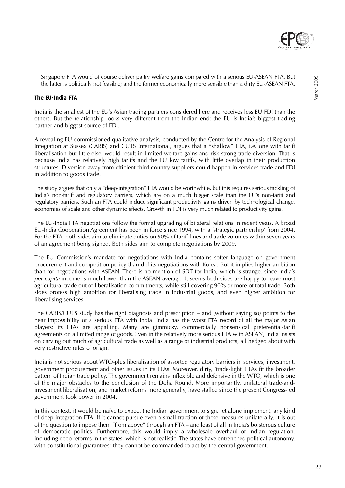

Singapore FTA would of course deliver paltry welfare gains compared with a serious EU-ASEAN FTA. But the latter is politically not feasible; and the former economically more sensible than a dirty EU-ASEAN FTA.

#### **The EU-India FTA**

India is the smallest of the EU's Asian trading partners considered here and receives less EU FDI than the others. But the relationship looks very different from the Indian end: the EU is India's biggest trading partner and biggest source of FDI.

A revealing EU-commissioned qualitative analysis, conducted by the Centre for the Analysis of Regional Integration at Sussex (CARIS) and CUTS International, argues that a "shallow" FTA, i.e. one with tariff liberalisation but little else, would result in limited welfare gains and risk strong trade diversion. That is because India has relatively high tariffs and the EU low tariffs, with little overlap in their production structures. Diversion away from efficient third-country suppliers could happen in services trade and FDI in addition to goods trade.

The study argues that only a "deep-integration" FTA would be worthwhile, but this requires serious tackling of India's non-tariff and regulatory barriers, which are on a much bigger scale than the EU's non-tariff and regulatory barriers. Such an FTA could induce significant productivity gains driven by technological change, economies of scale and other dynamic effects. Growth in FDI is very much related to productivity gains.

The EU-India FTA negotiations follow the formal upgrading of bilateral relations in recent years. A broad EU-India Cooperation Agreement has been in force since 1994, with a 'strategic partnership' from 2004. For the FTA, both sides aim to eliminate duties on 90% of tariff lines and trade volumes within seven years of an agreement being signed. Both sides aim to complete negotiations by 2009.

The EU Commission's mandate for negotiations with India contains softer language on government procurement and competition policy than did its negotiations with Korea. But it implies higher ambition than for negotiations with ASEAN. There is no mention of SDT for India, which is strange, since India's per capita income is much lower than the ASEAN average. It seems both sides are happy to leave most agricultural trade out of liberalisation commitments, while still covering 90% or more of total trade. Both sides profess high ambition for liberalising trade in industrial goods, and even higher ambition for liberalising services.

The CARIS/CUTS study has the right diagnosis and prescription – and (without saying so) points to the near impossibility of a serious FTA with India. India has the worst FTA record of all the major Asian players: its FTAs are appalling. Many are gimmicky, commercially nonsensical preferential-tariff agreements on a limited range of goods. Even in the relatively more serious FTA with ASEAN, India insists on carving out much of agricultural trade as well as a range of industrial products, all hedged about with very restrictive rules of origin.

India is not serious about WTO-plus liberalisation of assorted regulatory barriers in services, investment, government procurement and other issues in its FTAs. Moreover, dirty, 'trade-light' FTAs fit the broader pattern of Indian trade policy. The government remains inflexible and defensive in the WTO, which is one of the major obstacles to the conclusion of the Doha Round. More importantly, unilateral trade-andinvestment liberalisation, and market reforms more generally, have stalled since the present Congress-led government took power in 2004.

In this context, it would be naïve to expect the Indian government to sign, let alone implement, any kind of deep-integration FTA. If it cannot pursue even a small fraction of these measures unilaterally, it is out of the question to impose them "from above" through an FTA – and least of all in India's boisterous culture of democratic politics. Furthermore, this would imply a wholesale overhaul of Indian regulation, including deep reforms in the states, which is not realistic. The states have entrenched political autonomy, with constitutional guarantees; they cannot be commanded to act by the central government.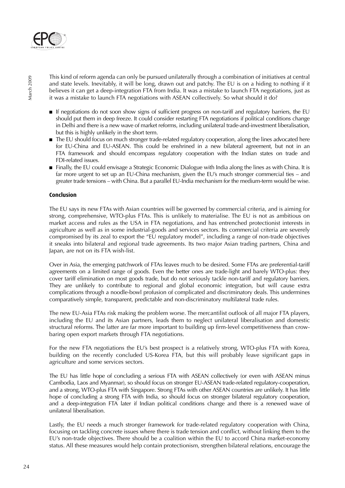

This kind of reform agenda can only be pursued unilaterally through a combination of initiatives at central and state levels. Inevitably, it will be long, drawn out and patchy. The EU is on a hiding to nothing if it believes it can get a deep-integration FTA from India. It was a mistake to launch FTA negotiations, just as it was a mistake to launch FTA negotiations with ASEAN collectively. So what should it do?

- If negotiations do not soon show signs of sufficient progress on non-tariff and regulatory barriers, the EU should put them in deep freeze. It could consider restarting FTA negotiations if political conditions change in Delhi and there is a new wave of market reforms, including unilateral trade-and-investment liberalisation, but this is highly unlikely in the short term.
- The EU should focus on much stronger trade-related regulatory cooperation, along the lines advocated here for EU-China and EU-ASEAN. This could be enshrined in a new bilateral agreement, but not in an FTA framework and should encompass regulatory cooperation with the Indian states on trade and FDI-related issues.
- Finally, the EU could envisage a Strategic Economic Dialogue with India along the lines as with China. It is far more urgent to set up an EU-China mechanism, given the EU's much stronger commercial ties – and greater trade tensions – with China. But a parallel EU-India mechanism for the medium-term would be wise.

#### **Conclusion**

The EU says its new FTAs with Asian countries will be governed by commercial criteria, and is aiming for strong, comprehensive, WTO-plus FTAs. This is unlikely to materialise. The EU is not as ambitious on market access and rules as the USA in FTA negotiations, and has entrenched protectionist interests in agriculture as well as in some industrial-goods and services sectors. Its commercial criteria are severely compromised by its zeal to export the "EU regulatory model", including a range of non-trade objectives it sneaks into bilateral and regional trade agreements. Its two major Asian trading partners, China and Japan, are not on its FTA wish-list.

Over in Asia, the emerging patchwork of FTAs leaves much to be desired. Some FTAs are preferential-tariff agreements on a limited range of goods. Even the better ones are trade-light and barely WTO-plus: they cover tariff elimination on most goods trade, but do not seriously tackle non-tariff and regulatory barriers. They are unlikely to contribute to regional and global economic integration, but will cause extra complications through a noodle-bowl profusion of complicated and discriminatory deals. This undermines comparatively simple, transparent, predictable and non-discriminatory multilateral trade rules.

The new EU-Asia FTAs risk making the problem worse. The mercantilist outlook of all major FTA players, including the EU and its Asian partners, leads them to neglect unilateral liberalisation and domestic structural reforms. The latter are far more important to building up firm-level competitiveness than crowbaring open export markets through FTA negotiations.

For the new FTA negotiations the EU's best prospect is a relatively strong, WTO-plus FTA with Korea, building on the recently concluded US-Korea FTA, but this will probably leave significant gaps in agriculture and some services sectors.

The EU has little hope of concluding a serious FTA with ASEAN collectively (or even with ASEAN minus Cambodia, Laos and Myanmar), so should focus on stronger EU-ASEAN trade-related regulatory-cooperation, and a strong, WTO-plus FTA with Singapore. Strong FTAs with other ASEAN countries are unlikely. It has little hope of concluding a strong FTA with India, so should focus on stronger bilateral regulatory cooperation, and a deep-integration FTA later if Indian political conditions change and there is a renewed wave of unilateral liberalisation.

Lastly, the EU needs a much stronger framework for trade-related regulatory cooperation with China, focusing on tackling concrete issues where there is trade tension and conflict, without linking them to the EU's non-trade objectives. There should be a coalition within the EU to accord China market-economy status. All these measures would help contain protectionism, strengthen bilateral relations, encourage the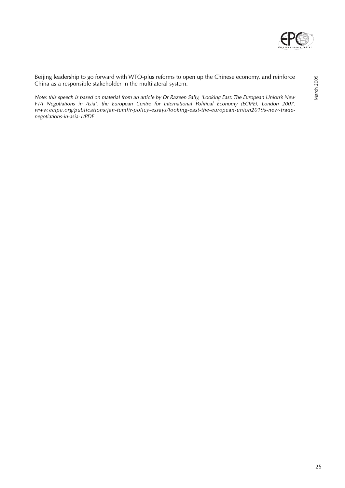

Beijing leadership to go forward with WTO-plus reforms to open up the Chinese economy, and reinforce China as a responsible stakeholder in the multilateral system.

Note: this speech is based on material from an article by Dr Razeen Sally, 'Looking East: The European Union's New FTA Negotiations in Asia', the European Centre for International Political Economy (ECIPE), London 2007. www.ecipe.org/publications/jan-tumlir-policy-essays/looking-east-the-european-union2019s-new-tradenegotiations-in-asia-1/PDF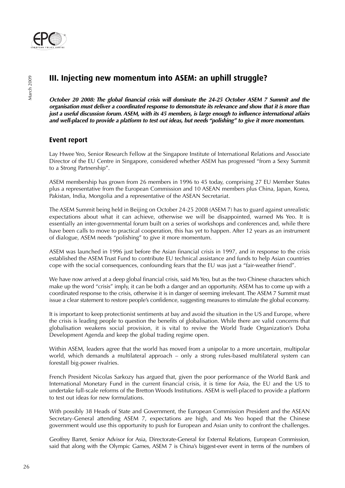

## **III. Injecting new momentum into ASEM: an uphill struggle?**

**October 20 2008: The global financial crisis will dominate the 24-25 October ASEM 7 Summit and the organisation must deliver a coordinated response to demonstrate its relevance and show that it is more than just a useful discussion forum. ASEM, with its 45 members, is large enough to influence international affairs and well-placed to provide a platform to test out ideas, but needs "polishing" to give it more momentum.**

## **Event report**

Lay Hwee Yeo, Senior Research Fellow at the Singapore Institute of International Relations and Associate Director of the EU Centre in Singapore, considered whether ASEM has progressed "from a Sexy Summit to a Strong Partnership".

ASEM membership has grown from 26 members in 1996 to 45 today, comprising 27 EU Member States plus a representative from the European Commission and 10 ASEAN members plus China, Japan, Korea, Pakistan, India, Mongolia and a representative of the ASEAN Secretariat.

The ASEM Summit being held in Beijing on October 24-25 2008 (ASEM 7) has to guard against unrealistic expectations about what it can achieve, otherwise we will be disappointed, warned Ms Yeo. It is essentially an inter-governmental forum built on a series of workshops and conferences and, while there have been calls to move to practical cooperation, this has yet to happen. After 12 years as an instrument of dialogue, ASEM needs "polishing" to give it more momentum.

ASEM was launched in 1996 just before the Asian financial crisis in 1997, and in response to the crisis established the ASEM Trust Fund to contribute EU technical assistance and funds to help Asian countries cope with the social consequences, confounding fears that the EU was just a "fair-weather friend".

We have now arrived at a deep global financial crisis, said Ms Yeo, but as the two Chinese characters which make up the word "crisis" imply, it can be both a danger and an opportunity. ASEM has to come up with a coordinated response to the crisis, otherwise it is in danger of seeming irrelevant. The ASEM 7 Summit must issue a clear statement to restore people's confidence, suggesting measures to stimulate the global economy.

It is important to keep protectionist sentiments at bay and avoid the situation in the US and Europe, where the crisis is leading people to question the benefits of globalisation. While there are valid concerns that globalisation weakens social provision, it is vital to revive the World Trade Organization's Doha Development Agenda and keep the global trading regime open.

Within ASEM, leaders agree that the world has moved from a unipolar to a more uncertain, multipolar world, which demands a multilateral approach – only a strong rules-based multilateral system can forestall big-power rivalries.

French President Nicolas Sarkozy has argued that, given the poor performance of the World Bank and International Monetary Fund in the current financial crisis, it is time for Asia, the EU and the US to undertake full-scale reforms of the Bretton Woods Institutions. ASEM is well-placed to provide a platform to test out ideas for new formulations.

With possibly 38 Heads of State and Government, the European Commission President and the ASEAN Secretary-General attending ASEM 7, expectations are high, and Ms Yeo hoped that the Chinese government would use this opportunity to push for European and Asian unity to confront the challenges.

Geoffrey Barret, Senior Advisor for Asia, Directorate-General for External Relations, European Commission, said that along with the Olympic Games, ASEM 7 is China's biggest-ever event in terms of the numbers of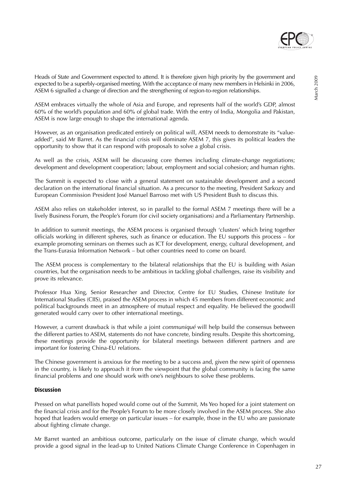Heads of State and Government expected to attend. It is therefore given high priority by the government and expected to be a superbly-organised meeting. With the acceptance of many new members in Helsinki in 2006, ASEM 6 signalled a change of direction and the strengthening of region-to-region relationships.

ASEM embraces virtually the whole of Asia and Europe, and represents half of the world's GDP, almost 60% of the world's population and 60% of global trade. With the entry of India, Mongolia and Pakistan, ASEM is now large enough to shape the international agenda.

However, as an organisation predicated entirely on political will, ASEM needs to demonstrate its "valueadded", said Mr Barret. As the financial crisis will dominate ASEM 7, this gives its political leaders the opportunity to show that it can respond with proposals to solve a global crisis.

As well as the crisis, ASEM will be discussing core themes including climate-change negotiations; development and development cooperation; labour, employment and social cohesion; and human rights.

The Summit is expected to close with a general statement on sustainable development and a second declaration on the international financial situation. As a precursor to the meeting, President Sarkozy and European Commission President José Manuel Barroso met with US President Bush to discuss this.

ASEM also relies on stakeholder interest, so in parallel to the formal ASEM 7 meetings there will be a lively Business Forum, the People's Forum (for civil society organisations) and a Parliamentary Partnership.

In addition to summit meetings, the ASEM process is organised through 'clusters' which bring together officials working in different spheres, such as finance or education. The EU supports this process – for example promoting seminars on themes such as ICT for development, energy, cultural development, and the Trans-Eurasia Information Network – but other countries need to come on board.

The ASEM process is complementary to the bilateral relationships that the EU is building with Asian countries, but the organisation needs to be ambitious in tackling global challenges, raise its visibility and prove its relevance.

Professor Hua Xing, Senior Researcher and Director, Centre for EU Studies, Chinese Institute for International Studies (CIIS), praised the ASEM process in which 45 members from different economic and political backgrounds meet in an atmosphere of mutual respect and equality. He believed the goodwill generated would carry over to other international meetings.

However, a current drawback is that while a joint *communiqué* will help build the consensus between the different parties to ASEM, statements do not have concrete, binding results. Despite this shortcoming, these meetings provide the opportunity for bilateral meetings between different partners and are important for fostering China-EU relations.

The Chinese government is anxious for the meeting to be a success and, given the new spirit of openness in the country, is likely to approach it from the viewpoint that the global community is facing the same financial problems and one should work with one's neighbours to solve these problems.

#### **Discussion**

Pressed on what panellists hoped would come out of the Summit, Ms Yeo hoped for a joint statement on the financial crisis and for the People's Forum to be more closely involved in the ASEM process. She also hoped that leaders would emerge on particular issues – for example, those in the EU who are passionate about fighting climate change.

Mr Barret wanted an ambitious outcome, particularly on the issue of climate change, which would provide a good signal in the lead-up to United Nations Climate Change Conference in Copenhagen in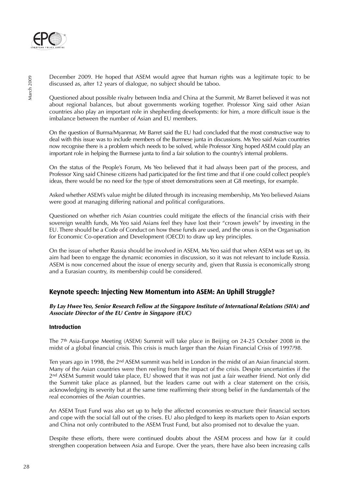

December 2009. He hoped that ASEM would agree that human rights was a legitimate topic to be discussed as, after 12 years of dialogue, no subject should be taboo.

Questioned about possible rivalry between India and China at the Summit, Mr Barret believed it was not about regional balances, but about governments working together. Professor Xing said other Asian countries also play an important role in shepherding developments: for him, a more difficult issue is the imbalance between the number of Asian and EU members.

On the question of Burma/Myanmar, Mr Barret said the EU had concluded that the most constructive way to deal with this issue was to include members of the Burmese junta in discussions. Ms Yeo said Asian countries now recognise there is a problem which needs to be solved, while Professor Xing hoped ASEM could play an important role in helping the Burmese junta to find a fair solution to the country's internal problems.

On the status of the People's Forum, Ms Yeo believed that it had always been part of the process, and Professor Xing said Chinese citizens had participated for the first time and that if one could collect people's ideas, there would be no need for the type of street demonstrations seen at G8 meetings, for example.

Asked whether ASEM's value might be diluted through its increasing membership, Ms Yeo believed Asians were good at managing differing national and political configurations.

Questioned on whether rich Asian countries could mitigate the effects of the financial crisis with their sovereign wealth funds, Ms Yeo said Asians feel they have lost their "crown jewels" by investing in the EU. There should be a Code of Conduct on how these funds are used, and the onus is on the Organisation for Economic Co-operation and Development (OECD) to draw up key principles.

On the issue of whether Russia should be involved in ASEM, Ms Yeo said that when ASEM was set up, its aim had been to engage the dynamic economies in discussion, so it was not relevant to include Russia. ASEM is now concerned about the issue of energy security and, given that Russia is economically strong and a Eurasian country, its membership could be considered.

## **Keynote speech: Injecting New Momentum into ASEM: An Uphill Struggle?**

**By Lay Hwee Yeo, Senior Research Fellow at the Singapore Institute of International Relations (SIIA) and Associate Director of the EU Centre in Singapore (EUC)**

#### **Introduction**

The 7th Asia-Europe Meeting (ASEM) Summit will take place in Beijing on 24-25 October 2008 in the midst of a global financial crisis. This crisis is much larger than the Asian Financial Crisis of 1997/98.

Ten years ago in 1998, the 2nd ASEM summit was held in London in the midst of an Asian financial storm. Many of the Asian countries were then reeling from the impact of the crisis. Despite uncertainties if the 2nd ASEM Summit would take place, EU showed that it was not just a fair weather friend. Not only did the Summit take place as planned, but the leaders came out with a clear statement on the crisis, acknowledging its severity but at the same time reaffirming their strong belief in the fundamentals of the real economies of the Asian countries.

An ASEM Trust Fund was also set up to help the affected economies re-structure their financial sectors and cope with the social fall out of the crises. EU also pledged to keep its markets open to Asian exports and China not only contributed to the ASEM Trust Fund, but also promised not to devalue the yuan.

Despite these efforts, there were continued doubts about the ASEM process and how far it could strengthen cooperation between Asia and Europe. Over the years, there have also been increasing calls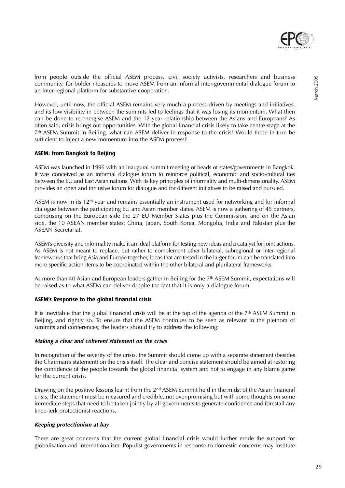

However, until now, the official ASEM remains very much a process driven by meetings and initiatives, and its low visibility in between the summits led to feelings that it was losing its momentum. What then can be done to re-energise ASEM and the 12-year relationship between the Asians and Europeans? As often said, crisis brings out opportunities. With the global financial crisis likely to take centre-stage at the 7th ASEM Summit in Beijing, what can ASEM deliver in response to the crisis? Would these in turn be sufficient to inject a new momentum into the ASEM process?

#### **ASEM: from Bangkok to Beijing**

ASEM was launched in 1996 with an inaugural summit meeting of heads of states/governments in Bangkok. It was conceived as an informal dialogue forum to reinforce political, economic and socio-cultural ties between the EU and East Asian nations. With its key principles of informality and multi-dimensionality, ASEM provides an open and inclusive forum for dialogue and for different initiatives to be raised and pursued.

ASEM is now in its 12th year and remains essentially an instrument used for networking and for informal dialogue between the participating EU and Asian member states. ASEM is now a gathering of 45 partners, comprising on the European side the 27 EU Member States plus the Commission, and on the Asian side, the 10 ASEAN member states: China, Japan, South Korea, Mongolia, India and Pakistan plus the ASEAN Secretariat.

ASEM's diversity and informality make it an ideal platform for testing new ideas and a catalyst for joint actions. As ASEM is not meant to replace, but rather to complement other bilateral, subregional or inter-regional frameworks that bring Asia and Europe together, ideas that are tested in the larger forum can be translated into more specific action items to be coordinated within the other bilateral and plurilateral frameworks.

As more than 40 Asian and European leaders gather in Beijing for the 7<sup>th</sup> ASEM Summit, expectations will be raised as to what ASEM can deliver despite the fact that it is only a dialogue forum.

#### **ASEM's Response to the global financial crisis**

It is inevitable that the global financial crisis will be at the top of the agenda of the 7<sup>th</sup> ASEM Summit in Beijing, and rightly so. To ensure that the ASEM continues to be seen as relevant in the plethora of summits and conferences, the leaders should try to address the following:

#### **Making a clear and coherent statement on the crisis**

In recognition of the severity of the crisis, the Summit should come up with a separate statement (besides the Chairman's statement) on the crisis itself. The clear and concise statement should be aimed at restoring the confidence of the people towards the global financial system and not to engage in any blame game for the current crisis.

Drawing on the positive lessons learnt from the 2nd ASEM Summit held in the midst of the Asian financial crisis, the statement must be measured and credible, not over-promising but with some thoughts on some immediate steps that need to be taken jointly by all governments to generate confidence and forestall any knee-jerk protectionist reactions.

#### **Keeping protectionism at bay**

There are great concerns that the current global financial crisis would further erode the support for globalisation and internationalism. Populist governments in response to domestic concerns may institute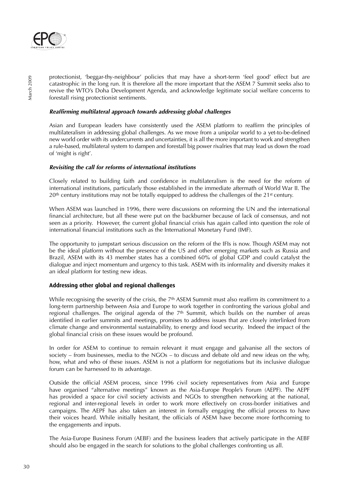

protectionist, 'beggar-thy-neighbour' policies that may have a short-term 'feel good' effect but are catastrophic in the long run. It is therefore all the more important that the ASEM 7 Summit seeks also to revive the WTO's Doha Development Agenda, and acknowledge legitimate social welfare concerns to forestall rising protectionist sentiments.

#### **Reaffirming multilateral approach towards addressing global challenges**

Asian and European leaders have consistently used the ASEM platform to reaffirm the principles of multilateralism in addressing global challenges. As we move from a unipolar world to a yet-to-be-defined new world order with its undercurrents and uncertainties, it is all the more important to work and strengthen a rule-based, multilateral system to dampen and forestall big power rivalries that may lead us down the road of 'might is right'.

#### **Revisiting the call for reforms of international institutions**

Closely related to building faith and confidence in multilateralism is the need for the reform of international institutions, particularly those established in the immediate aftermath of World War II. The  $20<sup>th</sup>$  century institutions may not be totally equipped to address the challenges of the 21<sup>st</sup> century.

When ASEM was launched in 1996, there were discussions on reforming the UN and the international financial architecture, but all these were put on the backburner because of lack of consensus, and not seen as a priority. However, the current global financial crisis has again called into question the role of international financial institutions such as the International Monetary Fund (IMF).

The opportunity to jumpstart serious discussion on the reform of the IFIs is now. Though ASEM may not be the ideal platform without the presence of the US and other emerging markets such as Russia and Brazil, ASEM with its 43 member states has a combined 60% of global GDP and could catalyst the dialogue and inject momentum and urgency to this task. ASEM with its informality and diversity makes it an ideal platform for testing new ideas.

#### **Addressing other global and regional challenges**

While recognising the severity of the crisis, the  $7<sup>th</sup>$  ASEM Summit must also reaffirm its commitment to a long-term partnership between Asia and Europe to work together in confronting the various global and regional challenges. The original agenda of the 7<sup>th</sup> Summit, which builds on the number of areas identified in earlier summits and meetings, promises to address issues that are closely interlinked from climate change and environmental sustainability, to energy and food security. Indeed the impact of the global financial crisis on these issues would be profound.

In order for ASEM to continue to remain relevant it must engage and galvanise all the sectors of society – from businesses, media to the NGOs – to discuss and debate old and new ideas on the why, how, what and who of these issues. ASEM is not a platform for negotiations but its inclusive dialogue forum can be harnessed to its advantage.

Outside the official ASEM process, since 1996 civil society representatives from Asia and Europe have organised "alternative meetings" known as the Asia-Europe People's Forum (AEPF). The AEPF has provided a space for civil society activists and NGOs to strengthen networking at the national, regional and inter-regional levels in order to work more effectively on cross-border initiatives and campaigns. The AEPF has also taken an interest in formally engaging the official process to have their voices heard. While initially hesitant, the officials of ASEM have become more forthcoming to the engagements and inputs.

The Asia-Europe Business Forum (AEBF) and the business leaders that actively participate in the AEBF should also be engaged in the search for solutions to the global challenges confronting us all.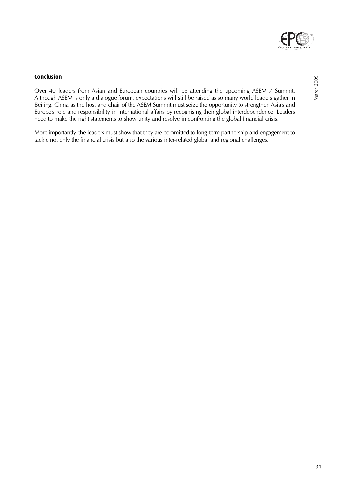

#### **Conclusion**

Over 40 leaders from Asian and European countries will be attending the upcoming ASEM 7 Summit. Although ASEM is only a dialogue forum, expectations will still be raised as so many world leaders gather in Beijing. China as the host and chair of the ASEM Summit must seize the opportunity to strengthen Asia's and Europe's role and responsibility in international affairs by recognising their global interdependence. Leaders need to make the right statements to show unity and resolve in confronting the global financial crisis.

More importantly, the leaders must show that they are committed to long-term partnership and engagement to tackle not only the financial crisis but also the various inter-related global and regional challenges.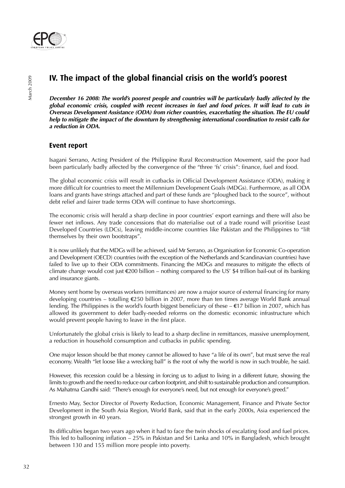

## **IV. The impact of the global financial crisis on the world's poorest**

**December 16 2008: The world's poorest people and countries will be particularly badly affected by the global economic crisis, coupled with recent increases in fuel and food prices. It will lead to cuts in Overseas Development Assistance (ODA) from richer countries, exacerbating the situation. The EU could help to mitigate the impact of the downturn by strengthening international coordination to resist calls for a reduction in ODA.**

### **Event report**

Isagani Serrano, Acting President of the Philippine Rural Reconstruction Movement, said the poor had been particularly badly affected by the convergence of the "three 'fs' crisis": finance, fuel and food.

The global economic crisis will result in cutbacks in Official Development Assistance (ODA), making it more difficult for countries to meet the Millennium Development Goals (MDGs). Furthermore, as all ODA loans and grants have strings attached and part of these funds are "ploughed back to the source", without debt relief and fairer trade terms ODA will continue to have shortcomings.

The economic crisis will herald a sharp decline in poor countries' export earnings and there will also be fewer net inflows. Any trade concessions that do materialise out of a trade round will prioritise Least Developed Countries (LDCs), leaving middle-income countries like Pakistan and the Philippines to "lift themselves by their own bootstraps".

It is now unlikely that the MDGs will be achieved, said Mr Serrano, as Organisation for Economic Co-operation and Development (OECD) countries (with the exception of the Netherlands and Scandinavian countries) have failed to live up to their ODA commitments. Financing the MDGs and measures to mitigate the effects of climate change would cost just €200 billion – nothing compared to the US' \$4 trillion bail-out of its banking and insurance giants.

Money sent home by overseas workers (remittances) are now a major source of external financing for many developing countries – totalling €250 billion in 2007, more than ten times average World Bank annual lending. The Philippines is the world's fourth biggest beneficiary of these – €17 billion in 2007, which has allowed its government to defer badly-needed reforms on the domestic economic infrastructure which would prevent people having to leave in the first place.

Unfortunately the global crisis is likely to lead to a sharp decline in remittances, massive unemployment, a reduction in household consumption and cutbacks in public spending.

One major lesson should be that money cannot be allowed to have "a life of its own", but must serve the real economy. Wealth "let loose like a wrecking ball" is the root of why the world is now in such trouble, he said.

However, this recession could be a blessing in forcing us to adjust to living in a different future, showing the limits to growth and the need to reduce our carbon footprint, and shift to sustainable production and consumption. As Mahatma Gandhi said: "There's enough for everyone's need, but not enough for everyone's greed."

Ernesto May, Sector Director of Poverty Reduction, Economic Management, Finance and Private Sector Development in the South Asia Region, World Bank, said that in the early 2000s, Asia experienced the strongest growth in 40 years.

Its difficulties began two years ago when it had to face the twin shocks of escalating food and fuel prices. This led to ballooning inflation – 25% in Pakistan and Sri Lanka and 10% in Bangladesh, which brought between 130 and 155 million more people into poverty.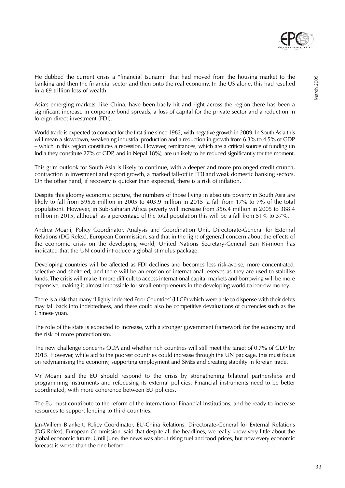

He dubbed the current crisis a "financial tsunami" that had moved from the housing market to the banking and then the financial sector and then onto the real economy. In the US alone, this had resulted in a  $€9$  trillion loss of wealth.

Asia's emerging markets, like China, have been badly hit and right across the region there has been a significant increase in corporate bond spreads, a loss of capital for the private sector and a reduction in foreign direct investment (FDI).

World trade is expected to contract for the first time since 1982, with negative growth in 2009. In South Asia this will mean a slowdown, weakening industrial production and a reduction in growth from 6.3% to 4.5% of GDP – which in this region constitutes a recession. However, remittances, which are a critical source of funding (in India they constitute 27% of GDP, and in Nepal 18%), are unlikely to be reduced significantly for the moment.

This grim outlook for South Asia is likely to continue, with a deeper and more prolonged credit crunch, contraction in investment and export growth, a marked fall-off in FDI and weak domestic banking sectors. On the other hand, if recovery is quicker than expected, there is a risk of inflation.

Despite this gloomy economic picture, the numbers of those living in absolute poverty in South Asia are likely to fall from 595.6 million in 2005 to 403.9 million in 2015 (a fall from 17% to 7% of the total population). However, in Sub-Saharan Africa poverty will increase from 356.4 million in 2005 to 388.4 million in 2015, although as a percentage of the total population this will be a fall from 51% to 37%.

Andrea Mogni, Policy Coordinator, Analysis and Coordination Unit, Directorate-General for External Relations (DG Relex), European Commission, said that in the light of general concern about the effects of the economic crisis on the developing world, United Nations Secretary-General Ban Ki-moon has indicated that the UN could introduce a global stimulus package.

Developing countries will be affected as FDI declines and becomes less risk-averse, more concentrated, selective and sheltered; and there will be an erosion of international reserves as they are used to stabilise funds. The crisis will make it more difficult to access international capital markets and borrowing will be more expensive, making it almost impossible for small entrepreneurs in the developing world to borrow money.

There is a risk that many 'Highly Indebted Poor Countries' (HICP) which were able to dispense with their debts may fall back into indebtedness, and there could also be competitive devaluations of currencies such as the Chinese yuan.

The role of the state is expected to increase, with a stronger government framework for the economy and the risk of more protectionism.

The new challenge concerns ODA and whether rich countries will still meet the target of 0.7% of GDP by 2015. However, while aid to the poorest countries could increase through the UN package, this must focus on redynamising the economy, supporting employment and SMEs and creating stability in foreign trade.

Mr Mogni said the EU should respond to the crisis by strengthening bilateral partnerships and programming instruments and refocusing its external policies. Financial instruments need to be better coordinated, with more coherence between EU policies.

The EU must contribute to the reform of the International Financial Institutions, and be ready to increase resources to support lending to third countries.

Jan-Willem Blankert, Policy Coordinator, EU-China Relations, Directorate-General for External Relations (DG Relex), European Commission, said that despite all the headlines, we really know very little about the global economic future. Until June, the news was about rising fuel and food prices, but now every economic forecast is worse than the one before.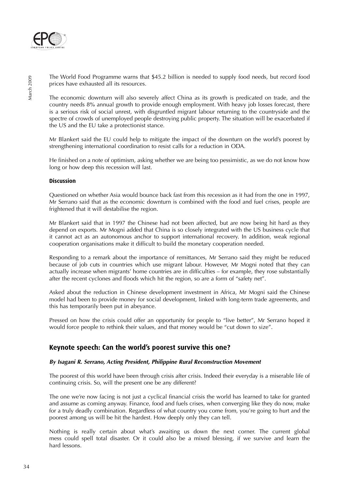

The World Food Programme warns that \$45.2 billion is needed to supply food needs, but record food prices have exhausted all its resources.

The economic downturn will also severely affect China as its growth is predicated on trade, and the country needs 8% annual growth to provide enough employment. With heavy job losses forecast, there is a serious risk of social unrest, with disgruntled migrant labour returning to the countryside and the spectre of crowds of unemployed people destroving public property. The situation will be exacerbated if the US and the EU take a protectionist stance.

Mr Blankert said the EU could help to mitigate the impact of the downturn on the world's poorest by strengthening international coordination to resist calls for a reduction in ODA.

He finished on a note of optimism, asking whether we are being too pessimistic, as we do not know how long or how deep this recession will last.

#### **Discussion**

Questioned on whether Asia would bounce back fast from this recession as it had from the one in 1997, Mr Serrano said that as the economic downturn is combined with the food and fuel crises, people are frightened that it will destabilise the region.

Mr Blankert said that in 1997 the Chinese had not been affected, but are now being hit hard as they depend on exports. Mr Mogni added that China is so closely integrated with the US business cycle that it cannot act as an autonomous anchor to support international recovery. In addition, weak regional cooperation organisations make it difficult to build the monetary cooperation needed.

Responding to a remark about the importance of remittances, Mr Serrano said they might be reduced because of job cuts in countries which use migrant labour. However, Mr Mogni noted that they can actually increase when migrants' home countries are in difficulties – for example, they rose substantially after the recent cyclones and floods which hit the region, so are a form of "safety net".

Asked about the reduction in Chinese development investment in Africa, Mr Mogni said the Chinese model had been to provide money for social development, linked with long-term trade agreements, and this has temporarily been put in abeyance.

Pressed on how the crisis could offer an opportunity for people to "live better", Mr Serrano hoped it would force people to rethink their values, and that money would be "cut down to size".

### **Keynote speech: Can the world's poorest survive this one?**

#### **By Isagani R. Serrano, Acting President, Philippine Rural Reconstruction Movement**

The poorest of this world have been through crisis after crisis. Indeed their everyday is a miserable life of continuing crisis. So, will the present one be any different?

The one we're now facing is not just a cyclical financial crisis the world has learned to take for granted and assume as coming anyway. Finance, food and fuels crises, when converging like they do now, make for a truly deadly combination. Regardless of what country you come from, you're going to hurt and the poorest among us will be hit the hardest. How deeply only they can tell.

Nothing is really certain about what's awaiting us down the next corner. The current global mess could spell total disaster. Or it could also be a mixed blessing, if we survive and learn the hard lessons.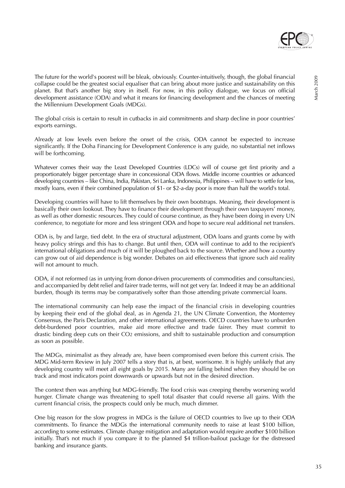

The future for the world's poorest will be bleak, obviously. Counter-intuitively, though, the global financial collapse could be the greatest social equaliser that can bring about more justice and sustainability on this planet. But that's another big story in itself. For now, in this policy dialogue, we focus on official development assistance (ODA) and what it means for financing development and the chances of meeting the Millennium Development Goals (MDGs).

The global crisis is certain to result in cutbacks in aid commitments and sharp decline in poor countries' exports earnings.

Already at low levels even before the onset of the crisis, ODA cannot be expected to increase significantly. If the Doha Financing for Development Conference is any guide, no substantial net inflows will be forthcoming.

Whatever comes their way the Least Developed Countries (LDCs) will of course get first priority and a proportionately bigger percentage share in concessional ODA flows. Middle income countries or advanced developing countries – like China, India, Pakistan, Sri Lanka, Indonesia, Philippines – will have to settle for less, mostly loans, even if their combined population of \$1- or \$2-a-day poor is more than half the world's total.

Developing countries will have to lift themselves by their own bootstraps. Meaning, their development is basically their own lookout. They have to finance their development through their own taxpayers' money, as well as other domestic resources. They could of course continue, as they have been doing in every UN conference, to negotiate for more and less stringent ODA and hope to secure real additional net transfers.

ODA is, by and large, tied debt. In the era of structural adjustment, ODA loans and grants come by with heavy policy strings and this has to change. But until then, ODA will continue to add to the recipient's international obligations and much of it will be ploughed back to the source. Whether and how a country can grow out of aid dependence is big wonder. Debates on aid effectiveness that ignore such aid reality will not amount to much.

ODA, if not reformed (as in untying from donor-driven procurements of commodities and consultancies), and accompanied by debt relief and fairer trade terms, will not get very far. Indeed it may be an additional burden, though its terms may be comparatively softer than those attending private commercial loans.

The international community can help ease the impact of the financial crisis in developing countries by keeping their end of the global deal, as in Agenda 21, the UN Climate Convention, the Monterrey Consensus, the Paris Declaration, and other international agreements. OECD countries have to unburden debt-burdened poor countries, make aid more effective and trade fairer. They must commit to drastic binding deep cuts on their CO2 emissions, and shift to sustainable production and consumption as soon as possible.

The MDGs, minimalist as they already are, have been compromised even before this current crisis. The MDG Mid-term Review in July 2007 tells a story that is, at best, worrisome. It is highly unlikely that any developing country will meet all eight goals by 2015. Many are falling behind when they should be on track and most indicators point downwards or upwards but not in the desired direction.

The context then was anything but MDG-friendly. The food crisis was creeping thereby worsening world hunger. Climate change was threatening to spell total disaster that could reverse all gains. With the current financial crisis, the prospects could only be much, much dimmer.

One big reason for the slow progress in MDGs is the failure of OECD countries to live up to their ODA commitments. To finance the MDGs the international community needs to raise at least \$100 billion, according to some estimates. Climate change mitigation and adaptation would require another \$100 billion initially. That's not much if you compare it to the planned \$4 trillion-bailout package for the distressed banking and insurance giants.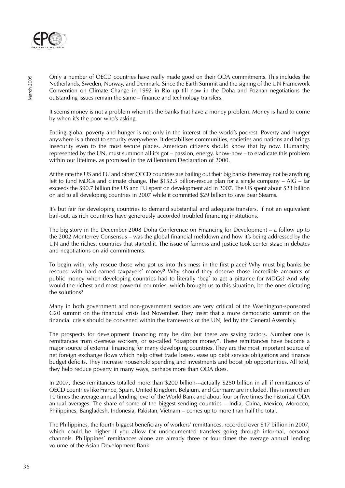

Only a number of OECD countries have really made good on their ODA commitments. This includes the Netherlands, Sweden, Norway, and Denmark. Since the Earth Summit and the signing of the UN Framework Convention on Climate Change in 1992 in Rio up till now in the Doha and Poznan negotiations the outstanding issues remain the same – finance and technology transfers.

It seems money is not a problem when it's the banks that have a money problem. Money is hard to come by when it's the poor who's asking.

Ending global poverty and hunger is not only in the interest of the world's poorest. Poverty and hunger anywhere is a threat to security everywhere. It destabilises communities, societies and nations and brings insecurity even to the most secure places. American citizens should know that by now. Humanity, represented by the UN, must summon all it's got – passion, energy, know-how – to eradicate this problem within our lifetime, as promised in the Millennium Declaration of 2000.

At the rate the US and EU and other OECD countries are bailing out their big banks there may not be anything left to fund MDGs and climate change. The \$152.5 billion-rescue plan for a single company – AIG – far exceeds the \$90.7 billion the US and EU spent on development aid in 2007. The US spent about \$23 billion on aid to all developing countries in 2007 while it committed \$29 billion to save Bear Stearns.

It's but fair for developing countries to demand substantial and adequate transfers, if not an equivalent bail-out, as rich countries have generously accorded troubled financing institutions.

The big story in the December 2008 Doha Conference on Financing for Development – a follow up to the 2002 Monterrey Consensus – was the global financial meltdown and how it's being addressed by the UN and the richest countries that started it. The issue of fairness and justice took center stage in debates and negotiations on aid commitments.

To begin with, why rescue those who got us into this mess in the first place? Why must big banks be rescued with hard-earned taxpayers' money? Why should they deserve those incredible amounts of public money when developing countries had to literally 'beg' to get a pittance for MDGs? And why would the richest and most powerful countries, which brought us to this situation, be the ones dictating the solutions?

Many in both government and non-government sectors are very critical of the Washington-sponsored G20 summit on the financial crisis last November. They insist that a more democratic summit on the financial crisis should be convened within the framework of the UN, led by the General Assembly.

The prospects for development financing may be dim but there are saving factors. Number one is remittances from overseas workers, or so-called "diaspora money". These remittances have become a major source of external financing for many developing countries. They are the most important source of net foreign exchange flows which help offset trade losses, ease up debt service obligations and finance budget deficits. They increase household spending and investments and boost job opportunities. All told, they help reduce poverty in many ways, perhaps more than ODA does.

In 2007, these remittances totalled more than \$200 billion---actually \$250 billion in all if remittances of OECD countries like France, Spain, United Kingdom, Belgium, and Germany are included. This is more than 10 times the average annual lending level of the World Bank and about four or five times the historical ODA annual averages. The share of some of the biggest sending countries – India, China, Mexico, Morocco, Philippines, Bangladesh, Indonesia, Pakistan, Vietnam – comes up to more than half the total.

The Philippines, the fourth biggest beneficiary of workers' remittances, recorded over \$17 billion in 2007, which could be higher if you allow for undocumented transfers going through informal, personal channels. Philippines' remittances alone are already three or four times the average annual lending volume of the Asian Development Bank.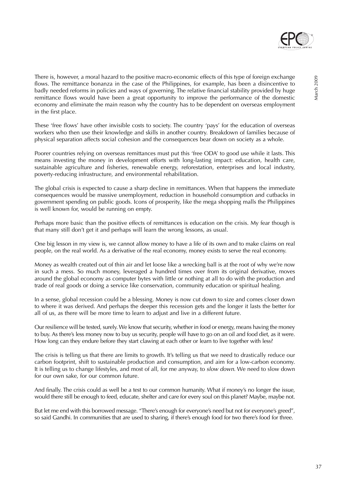

There is, however, a moral hazard to the positive macro-economic effects of this type of foreign exchange flows. The remittance bonanza in the case of the Philippines, for example, has been a disincentive to badly needed reforms in policies and ways of governing. The relative financial stability provided by huge remittance flows would have been a great opportunity to improve the performance of the domestic economy and eliminate the main reason why the country has to be dependent on overseas employment in the first place.

These 'free flows' have other invisible costs to society. The country 'pays' for the education of overseas workers who then use their knowledge and skills in another country. Breakdown of families because of physical separation affects social cohesion and the consequences bear down on society as a whole.

Poorer countries relying on overseas remittances must put this 'free ODA' to good use while it lasts. This means investing the money in development efforts with long-lasting impact: education, health care, sustainable agriculture and fisheries, renewable energy, reforestation, enterprises and local industry, poverty-reducing infrastructure, and environmental rehabilitation.

The global crisis is expected to cause a sharp decline in remittances. When that happens the immediate consequences would be massive unemployment, reduction in household consumption and cutbacks in government spending on public goods. Icons of prosperity, like the mega shopping malls the Philippines is well known for, would be running on empty.

Perhaps more basic than the positive effects of remittances is education on the crisis. My fear though is that many still don't get it and perhaps will learn the wrong lessons, as usual.

One big lesson in my view is, we cannot allow money to have a life of its own and to make claims on real people, on the real world. As a derivative of the real economy, money exists to serve the real economy.

Money as wealth created out of thin air and let loose like a wrecking ball is at the root of why we're now in such a mess. So much money, leveraged a hundred times over from its original derivative, moves around the global economy as computer bytes with little or nothing at all to do with the production and trade of real goods or doing a service like conservation, community education or spiritual healing.

In a sense, global recession could be a blessing. Money is now cut down to size and comes closer down to where it was derived. And perhaps the deeper this recession gets and the longer it lasts the better for all of us, as there will be more time to learn to adjust and live in a different future.

Our resilience will be tested, surely. We know that security, whether in food or energy, means having the money to buy. As there's less money now to buy us security, people will have to go on an oil and food diet, as it were. How long can they endure before they start clawing at each other or learn to live together with less?

The crisis is telling us that there are limits to growth. It's telling us that we need to drastically reduce our carbon footprint, shift to sustainable production and consumption, and aim for a low-carbon economy. It is telling us to change lifestyles, and most of all, for me anyway, to *slow down*. We need to slow down for our own sake, for our common future.

And finally. The crisis could as well be a test to our common humanity. What if money's no longer the issue, would there still be enough to feed, educate, shelter and care for every soul on this planet? Maybe, maybe not.

But let me end with this borrowed message. "There's enough for everyone's need but not for everyone's greed", so said Gandhi. In communities that are used to sharing, if there's enough food for two there's food for three.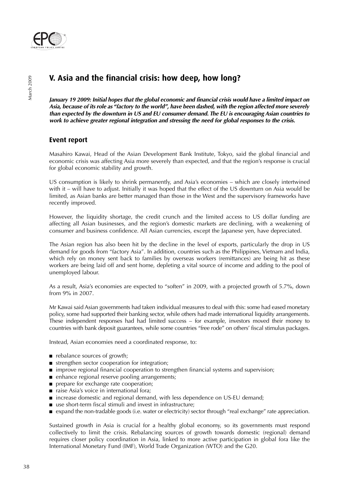

## **V. Asia and the financial crisis: how deep, how long?**

**January 19 2009: Initial hopes that the global economic and financial crisis would have a limited impact on Asia, because of its role as "factory to the world", have been dashed, with the region affected more severely than expected by the downturn in US and EU consumer demand. The EU is encouraging Asian countries to work to achieve greater regional integration and stressing the need for global responses to the crisis.**

## **Event report**

Masahiro Kawai, Head of the Asian Development Bank Institute, Tokyo, said the global financial and economic crisis was affecting Asia more severely than expected, and that the region's response is crucial for global economic stability and growth.

US consumption is likely to shrink permanently, and Asia's economies – which are closely intertwined with it – will have to adjust. Initially it was hoped that the effect of the US downturn on Asia would be limited, as Asian banks are better managed than those in the West and the supervisory frameworks have recently improved.

However, the liquidity shortage, the credit crunch and the limited access to US dollar funding are affecting all Asian businesses, and the region's domestic markets are declining, with a weakening of consumer and business confidence. All Asian currencies, except the Japanese yen, have depreciated.

The Asian region has also been hit by the decline in the level of exports, particularly the drop in US demand for goods from "factory Asia". In addition, countries such as the Philippines, Vietnam and India, which rely on money sent back to families by overseas workers (remittances) are being hit as these workers are being laid off and sent home, depleting a vital source of income and adding to the pool of unemployed labour.

As a result, Asia's economies are expected to "soften" in 2009, with a projected growth of 5.7%, down from 9% in 2007.

Mr Kawai said Asian governments had taken individual measures to deal with this: some had eased monetary policy, some had supported their banking sector, while others had made international liquidity arrangements. These independent responses had had limited success – for example, investors moved their money to countries with bank deposit guarantees, while some countries "free rode" on others' fiscal stimulus packages.

Instead, Asian economies need a coordinated response, to:

- rebalance sources of growth;
- strengthen sector cooperation for integration;
- improve regional financial cooperation to strengthen financial systems and supervision;
- enhance regional reserve pooling arrangements;
- prepare for exchange rate cooperation;
- raise Asia's voice in international fora;
- increase domestic and regional demand, with less dependence on US-EU demand;
- use short-term fiscal stimuli and invest in infrastructure;
- expand the non-tradable goods (i.e. water or electricity) sector through "real exchange" rate appreciation.

Sustained growth in Asia is crucial for a healthy global economy, so its governments must respond collectively to limit the crisis. Rebalancing sources of growth towards domestic (regional) demand requires closer policy coordination in Asia, linked to more active participation in global fora like the International Monetary Fund (IMF), World Trade Organization (WTO) and the G20.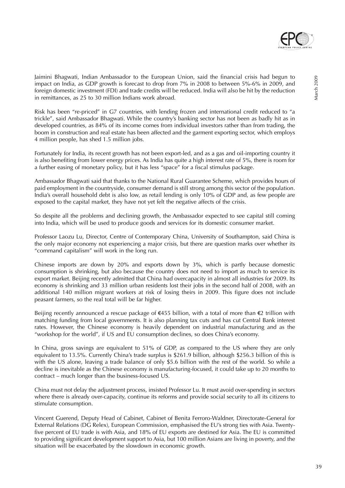

Jaimini Bhagwati, Indian Ambassador to the European Union, said the financial crisis had begun to impact on India, as GDP growth is forecast to drop from 7% in 2008 to between 5%-6% in 2009, and foreign domestic investment (FDI) and trade credits will be reduced. India will also be hit by the reduction in remittances, as 25 to 30 million Indians work abroad.

Risk has been "re-priced" in G7 countries, with lending frozen and international credit reduced to "a trickle", said Ambassador Bhagwati. While the country's banking sector has not been as badly hit as in developed countries, as 84% of its income comes from individual investors rather than from trading, the boom in construction and real estate has been affected and the garment exporting sector, which employs 4 million people, has shed 1.5 million jobs.

Fortunately for India, its recent growth has not been export-led, and as a gas and oil-importing country it is also benefiting from lower energy prices. As India has quite a high interest rate of 5%, there is room for a further easing of monetary policy, but it has less "space" for a fiscal stimulus package.

Ambassador Bhagwati said that thanks to the National Rural Guarantee Scheme, which provides hours of paid employment in the countryside, consumer demand is still strong among this sector of the population. India's overall household debt is also low, as retail lending is only 10% of GDP and, as few people are exposed to the capital market, they have not yet felt the negative affects of the crisis.

So despite all the problems and declining growth, the Ambassador expected to see capital still coming into India, which will be used to produce goods and services for its domestic consumer market.

Professor Laozu Lu, Director, Centre of Contemporary China, University of Southampton, said China is the only major economy not experiencing a major crisis, but there are question marks over whether its "command capitalism" will work in the long run.

Chinese imports are down by 20% and exports down by 3%, which is partly because domestic consumption is shrinking, but also because the country does not need to import as much to service its export market. Beijing recently admitted that China had overcapacity in almost all industries for 2009. Its economy is shrinking and 33 million urban residents lost their jobs in the second half of 2008, with an additional 140 million migrant workers at risk of losing theirs in 2009. This figure does not include peasant farmers, so the real total will be far higher.

Beijing recently announced a rescue package of €455 billion, with a total of more than €2 trillion with matching funding from local governments. It is also planning tax cuts and has cut Central Bank interest rates. However, the Chinese economy is heavily dependent on industrial manufacturing and as the "workshop for the world", if US and EU consumption declines, so does China's economy.

In China, gross savings are equivalent to 51% of GDP, as compared to the US where they are only equivalent to 13.5%. Currently China's trade surplus is \$261.9 billion, although \$256.3 billion of this is with the US alone, leaving a trade balance of only \$5.6 billion with the rest of the world. So while a decline is inevitable as the Chinese economy is manufacturing-focused, it could take up to 20 months to contract – much longer than the business-focused US.

China must not delay the adjustment process, insisted Professor Lu. It must avoid over-spending in sectors where there is already over-capacity, continue its reforms and provide social security to all its citizens to stimulate consumption.

Vincent Guerend, Deputy Head of Cabinet, Cabinet of Benita Ferroro-Waldner, Directorate-General for External Relations (DG Relex), European Commission, emphasised the EU's strong ties with Asia. Twentyfive percent of EU trade is with Asia, and 18% of EU exports are destined for Asia. The EU is committed to providing significant development support to Asia, but 100 million Asians are living in poverty, and the situation will be exacerbated by the slowdown in economic growth.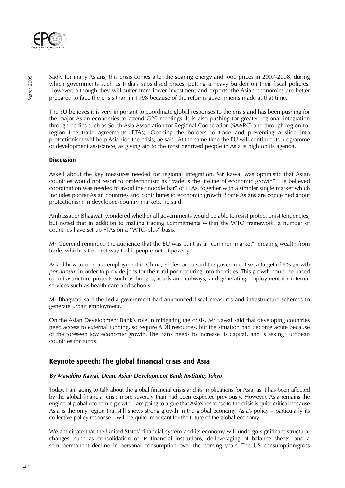

Sadly for many Asians, this crisis comes after the soaring energy and food prices in 2007-2008, during which governments such as India's subsidised prices, putting a heavy burden on their fiscal policies. However, although they will suffer from lower investment and exports, the Asian economies are better prepared to face the crisis than in 1998 because of the reforms governments made at that time.

The EU believes it is very important to coordinate global responses to the crisis and has been pushing for the major Asian economies to attend G20 meetings. It is also pushing for greater regional integration through bodies such as South Asia Association for Regional Cooperation (SAARC) and through region-toregion free trade agreements (FTAs). Opening the borders to trade and preventing a slide into protectionism will help Asia ride the crisis, he said. At the same time the EU will continue its programme of development assistance, as giving aid to the most deprived people in Asia is high on its agenda.

#### **Discussion**

Asked about the key measures needed for regional integration, Mr Kawai was optimistic that Asian countries would not resort to protectionism as "trade is the lifeline of economic growth". He believed coordination was needed to avoid the "noodle bar" of FTAs, together with a simpler single market which includes poorer Asian countries and contributes to economic growth. Some Asians are concerned about protectionism in developed-country markets, he said.

Ambassador Bhagwati wondered whether all governments would be able to resist protectionist tendencies, but noted that in addition to making trading commitments within the WTO framework, a number of countries have set up FTAs on a "WTO-plus" basis.

Mr Guerend reminded the audience that the EU was built as a "common market", creating wealth from trade, which is the best way to lift people out of poverty.

Asked how to increase employment in China, Professor Lu said the government set a target of 8% growth per annum in order to provide jobs for the rural poor pouring into the cities. This growth could be based on infrastructure projects such as bridges, roads and railways, and generating employment for internal services such as health care and schools.

Mr Bhagwati said the India government had announced fiscal measures and infrastructure schemes to generate urban employment.

On the Asian Development Bank's role in mitigating the crisis, Mr Kawai said that developing countries need access to external funding, so require ADB resources, but the situation had become acute because of the foreseen low economic growth. The Bank needs to increase its capital, and is asking European countries for funds.

## **Keynote speech: The global financial crisis and Asia**

#### **By Masahiro Kawai, Dean, Asian Development Bank Institute, Tokyo**

Today, I am going to talk about the global financial crisis and its implications for Asia, as it has been affected by the global financial crisis more severely than had been expected previously. However, Asia remains the engine of global economic growth. I am going to argue that Asia's response to the crisis is quite critical because Asia is the only region that still shows strong growth in the global economy. Asia's policy – particularly its collective policy response – will be quite important for the future of the global economy.

We anticipate that the United States' financial system and its economy will undergo significant structural changes, such as consolidation of its financial institutions, de-leveraging of balance sheets, and a semi-permanent decline in personal consumption over the coming years. The US consumption/gross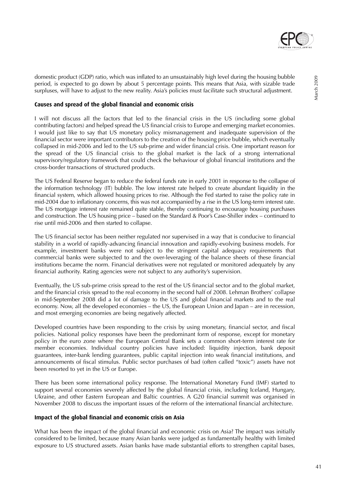

domestic product (GDP) ratio, which was inflated to an unsustainably high level during the housing bubble period, is expected to go down by about 5 percentage points. This means that Asia, with sizable trade surpluses, will have to adjust to the new reality. Asia's policies must facilitate such structural adjustment.

#### **Causes and spread of the global financial and economic crisis**

I will not discuss all the factors that led to the financial crisis in the US (including some global contributing factors) and helped spread the US financial crisis to Europe and emerging market economies. I would just like to say that US monetary policy mismanagement and inadequate supervision of the financial sector were important contributors to the creation of the housing price bubble, which eventually collapsed in mid-2006 and led to the US sub-prime and wider financial crisis. One important reason for the spread of the US financial crisis to the global market is the lack of a strong international supervisory/regulatory framework that could check the behaviour of global financial institutions and the cross-border transactions of structured products.

The US Federal Reserve began to reduce the federal funds rate in early 2001 in response to the collapse of the information technology (IT) bubble. The low interest rate helped to create abundant liquidity in the financial system, which allowed housing prices to rise. Although the Fed started to raise the policy rate in mid-2004 due to inflationary concerns, this was not accompanied by a rise in the US long-term interest rate. The US mortgage interest rate remained quite stable, thereby continuing to encourage housing purchases and construction. The US housing price – based on the Standard & Poor's Case-Shiller index – continued to rise until mid-2006 and then started to collapse.

The US financial sector has been neither regulated nor supervised in a way that is conducive to financial stability in a world of rapidly-advancing financial innovation and rapidly-evolving business models. For example, investment banks were not subject to the stringent capital adequacy requirements that commercial banks were subjected to and the over-leveraging of the balance sheets of these financial institutions became the norm. Financial derivatives were not regulated or monitored adequately by any financial authority. Rating agencies were not subject to any authority's supervision.

Eventually, the US sub-prime crisis spread to the rest of the US financial sector and to the global market, and the financial crisis spread to the real economy in the second half of 2008. Lehman Brothers' collapse in mid-September 2008 did a lot of damage to the US and global financial markets and to the real economy. Now, all the developed economies – the US, the European Union and Japan – are in recession, and most emerging economies are being negatively affected.

Developed countries have been responding to the crisis by using monetary, financial sector, and fiscal policies. National policy responses have been the predominant form of response, except for monetary policy in the euro zone where the European Central Bank sets a common short-term interest rate for member economies. Individual country policies have included: liquidity injection, bank deposit guarantees, inter-bank lending guarantees, public capital injection into weak financial institutions, and announcements of fiscal stimulus. Public sector purchases of bad (often called "toxic") assets have not been resorted to yet in the US or Europe.

There has been some international policy response. The International Monetary Fund (IMF) started to support several economies severely affected by the global financial crisis, including Iceland, Hungary, Ukraine, and other Eastern European and Baltic countries. A G20 financial summit was organised in November 2008 to discuss the important issues of the reform of the international financial architecture.

#### **Impact of the global financial and economic crisis on Asia**

What has been the impact of the global financial and economic crisis on Asia? The impact was initially considered to be limited, because many Asian banks were judged as fundamentally healthy with limited exposure to US structured assets. Asian banks have made substantial efforts to strengthen capital bases,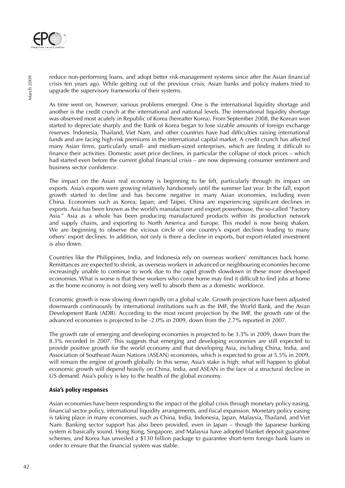

reduce non-performing loans, and adopt better risk-management systems since after the Asian financial crisis ten years ago. While getting out of the previous crisis, Asian banks and policy makers tried to upgrade the supervisory frameworks of their systems.

As time went on, however, various problems emerged. One is the international liquidity shortage and another is the credit crunch at the international and national levels. The international liquidity shortage was observed most acutely in Republic of Korea (hereafter Korea). From September 2008, the Korean won started to depreciate sharply and the Bank of Korea began to lose sizable amounts of foreign exchange reserves. Indonesia, Thailand, Viet Nam, and other countries have had difficulties raising international funds and are facing high-risk premiums in the international capital market. A credit crunch has affected many Asian firms, particularly small- and medium-sized enterprises, which are finding it difficult to finance their activities. Domestic asset price declines, in particular the collapse of stock prices – which had started even before the current global financial crisis – are now depressing consumer sentiment and business sector confidence.

The impact on the Asian real economy is beginning to be felt, particularly through its impact on exports. Asia's exports were growing relatively handsomely until the summer last year. In the fall, export growth started to decline and has become negative in many Asian economies, including even China. Economies such as Korea; Japan; and Taipei, China are experiencing significant declines in exports. Asia has been known as the world's manufacturer and export powerhouse, the so-called "Factory Asia." Asia as a whole has been producing manufactured products within its production network and supply chains, and exporting to North America and Europe. This model is now being shaken. We are beginning to observe the vicious circle of one country's export declines leading to many others' export declines. In addition, not only is there a decline in exports, but export-related investment is also down.

Countries like the Philippines, India, and Indonesia rely on overseas workers' remittances back home. Remittances are expected to shrink, as overseas workers in advanced or neighbouring economies become increasingly unable to continue to work due to the rapid growth slowdown in these more developed economies. What is worse is that these workers who come home may find it difficult to find jobs at home as the home economy is not doing very well to absorb them as a domestic workforce.

Economic growth is now slowing down rapidly on a global scale. Growth projections have been adjusted downwards continuously by international institutions such as the IMF, the World Bank, and the Asian Development Bank (ADB). According to the most recent projection by the IMF, the growth rate of the advanced economies is projected to be -2.0% in 2009, down from the 2.7% reported in 2007.

The growth rate of emerging and developing economies is projected to be 3.3% in 2009, down from the 8.3% recorded in 2007. This suggests that emerging and developing economies are still expected to provide positive growth for the world economy and that developing Asia, including China, India, and Association of Southeast Asian Nations (ASEAN) economies, which is expected to grow at 5.5% in 2009, will remain the engine of growth globally. In this sense, Asia's stake is high: what will happen to global economic growth will depend heavily on China, India, and ASEAN in the face of a structural decline in US demand. Asia's policy is key to the health of the global economy.

#### **Asia's policy responses**

Asian economies have been responding to the impact of the global crisis through monetary policy easing, financial sector policy, international liquidity arrangements, and fiscal expansion. Monetary policy easing is taking place in many economies, such as China, India, Indonesia, Japan, Malaysia, Thailand, and Viet Nam. Banking sector support has also been provided, even in Japan – though the Japanese banking system is basically sound. Hong Kong, Singapore, and Malaysia have adopted blanket deposit guarantee schemes, and Korea has unveiled a \$130 billion package to guarantee short-term foreign bank loans in order to ensure that the financial system was stable.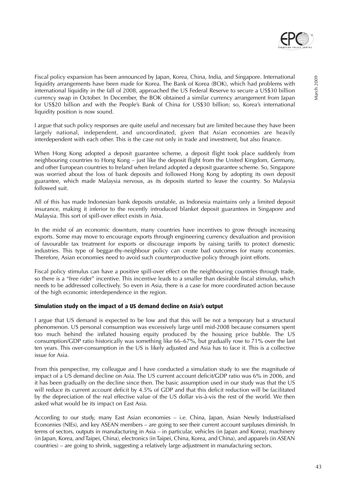

Fiscal policy expansion has been announced by Japan, Korea, China, India, and Singapore. International liquidity arrangements have been made for Korea. The Bank of Korea (BOK), which had problems with international liquidity in the fall of 2008, approached the US Federal Reserve to secure a US\$30 billion currency swap in October. In December, the BOK obtained a similar currency arrangement from Japan for US\$20 billion and with the People's Bank of China for US\$30 billion; so, Korea's international liquidity position is now sound.

I argue that such policy responses are quite useful and necessary but are limited because they have been largely national, independent, and uncoordinated, given that Asian economies are heavily interdependent with each other. This is the case not only in trade and investment, but also finance.

When Hong Kong adopted a deposit guarantee scheme, a deposit flight took place suddenly from neighbouring countries to Hong Kong – just like the deposit flight from the United Kingdom, Germany, and other European countries to Ireland when Ireland adopted a deposit guarantee scheme. So, Singapore was worried about the loss of bank deposits and followed Hong Kong by adopting its own deposit guarantee, which made Malaysia nervous, as its deposits started to leave the country. So Malaysia followed suit.

All of this has made Indonesian bank deposits unstable, as Indonesia maintains only a limited deposit insurance, making it inferior to the recently introduced blanket deposit guarantees in Singapore and Malaysia. This sort of spill-over effect exists in Asia.

In the midst of an economic downturn, many countries have incentives to grow through increasing exports. Some may move to encourage exports through engineering currency devaluation and provision of favourable tax treatment for exports or discourage imports by raising tariffs to protect domestic industries. This type of beggar-thy-neighbour policy can create bad outcomes for many economies. Therefore, Asian economies need to avoid such counterproductive policy through joint efforts.

Fiscal policy stimulus can have a positive spill-over effect on the neighbouring countries through trade, so there is a "free rider" incentive. This incentive leads to a smaller than desirable fiscal stimulus, which needs to be addressed collectively. So even in Asia, there is a case for more coordinated action because of the high economic interdependence in the region.

#### **Simulation study on the impact of a US demand decline on Asia's output**

I argue that US demand is expected to be low and that this will be not a temporary but a structural phenomenon. US personal consumption was excessively large until mid-2008 because consumers spent too much behind the inflated housing equity produced by the housing price bubble. The US consumption/GDP ratio historically was something like 66–67%, but gradually rose to 71% over the last ten years. This over-consumption in the US is likely adjusted and Asia has to face it. This is a collective issue for Asia.

From this perspective, my colleague and I have conducted a simulation study to see the magnitude of impact of a US demand decline on Asia. The US current account deficit/GDP ratio was 6% in 2006, and it has been gradually on the decline since then. The basic assumption used in our study was that the US will reduce its current account deficit by 4.5% of GDP and that this deficit reduction will be facilitated by the depreciation of the real effective value of the US dollar vis-à-vis the rest of the world. We then asked what would be its impact on East Asia.

According to our study, many East Asian economies – i.e. China, Japan, Asian Newly Industrialised Economies (NIEs), and key ASEAN members – are going to see their current account surpluses diminish. In terms of sectors, outputs in manufacturing in Asia – in particular, vehicles (in Japan and Korea), machinery (in Japan, Korea, and Taipei, China), electronics (in Taipei, China, Korea, and China), and apparels (in ASEAN countries) – are going to shrink, suggesting a relatively large adjustment in manufacturing sectors.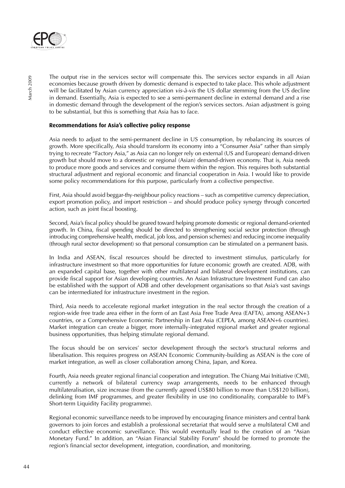

The output rise in the services sector will compensate this. The services sector expands in all Asian economies because growth driven by domestic demand is expected to take place. This whole adjustment will be facilitated by Asian currency appreciation vis-à-vis the US dollar stemming from the US decline in demand. Essentially, Asia is expected to see a semi-permanent decline in external demand and a rise in domestic demand through the development of the region's services sectors. Asian adjustment is going to be substantial, but this is something that Asia has to face.

#### **Recommendations for Asia's collective policy response**

Asia needs to adjust to the semi-permanent decline in US consumption, by rebalancing its sources of growth. More specifically, Asia should transform its economy into a "Consumer Asia" rather than simply trying to recreate "Factory Asia," as Asia can no longer rely on external (US and European) demand-driven growth but should move to a domestic or regional (Asian) demand-driven economy. That is, Asia needs to produce more goods and services and consume them within the region. This requires both substantial structural adjustment and regional economic and financial cooperation in Asia. I would like to provide some policy recommendations for this purpose, particularly from a collective perspective.

First, Asia should avoid beggar-thy-neighbour policy reactions – such as competitive currency depreciation, export promotion policy, and import restriction – and should produce policy synergy through concerted action, such as joint fiscal boosting.

Second, Asia's fiscal policy should be geared toward helping promote domestic or regional demand-oriented growth. In China, fiscal spending should be directed to strengthening social sector protection (through introducing comprehensive health, medical, job loss, and pension schemes) and reducing income inequality (through rural sector development) so that personal consumption can be stimulated on a permanent basis.

In India and ASEAN, fiscal resources should be directed to investment stimulus, particularly for infrastructure investment so that more opportunities for future economic growth are created. ADB, with an expanded capital base, together with other multilateral and bilateral development institutions, can provide fiscal support for Asian developing countries. An Asian Infrastructure Investment Fund can also be established with the support of ADB and other development organisations so that Asia's vast savings can be intermediated for infrastructure investment in the region.

Third, Asia needs to accelerate regional market integration in the real sector through the creation of a region-wide free trade area either in the form of an East Asia Free Trade Area (EAFTA), among ASEAN+3 countries, or a Comprehensive Economic Partnership in East Asia (CEPEA, among ASEAN+6 countries). Market integration can create a bigger, more internally-integrated regional market and greater regional business opportunities, thus helping stimulate regional demand.

The focus should be on services' sector development through the sector's structural reforms and liberalisation. This requires progress on ASEAN Economic Community-building as ASEAN is the core of market integration, as well as closer collaboration among China, Japan, and Korea.

Fourth, Asia needs greater regional financial cooperation and integration. The Chiang Mai Initiative (CMI), currently a network of bilateral currency swap arrangements, needs to be enhanced through multilateralisation, size increase (from the currently agreed US\$80 billion to more than US\$120 billion), delinking from IMF programmes, and greater flexibility in use (no conditionality, comparable to IMF's Short-term Liquidity Facility programme).

Regional economic surveillance needs to be improved by encouraging finance ministers and central bank governors to join forces and establish a professional secretariat that would serve a multilateral CMI and conduct effective economic surveillance. This would eventually lead to the creation of an "Asian Monetary Fund." In addition, an "Asian Financial Stability Forum" should be formed to promote the region's financial sector development, integration, coordination, and monitoring.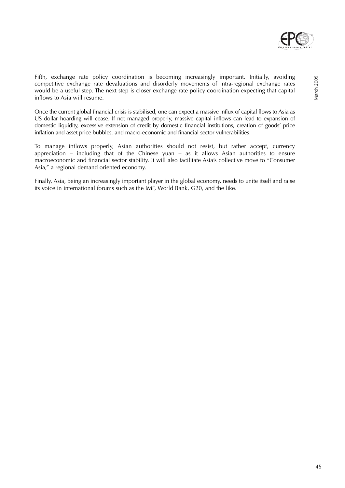

Fifth, exchange rate policy coordination is becoming increasingly important. Initially, avoiding competitive exchange rate devaluations and disorderly movements of intra-regional exchange rates would be a useful step. The next step is closer exchange rate policy coordination expecting that capital inflows to Asia will resume.

Once the current global financial crisis is stabilised, one can expect a massive influx of capital flows to Asia as US dollar hoarding will cease. If not managed properly, massive capital inflows can lead to expansion of domestic liquidity, excessive extension of credit by domestic financial institutions, creation of goods' price inflation and asset price bubbles, and macro-economic and financial sector vulnerabilities.

To manage inflows properly, Asian authorities should not resist, but rather accept, currency appreciation – including that of the Chinese yuan – as it allows Asian authorities to ensure macroeconomic and financial sector stability. It will also facilitate Asia's collective move to "Consumer Asia," a regional demand oriented economy.

Finally, Asia, being an increasingly important player in the global economy, needs to unite itself and raise its voice in international forums such as the IMF, World Bank, G20, and the like.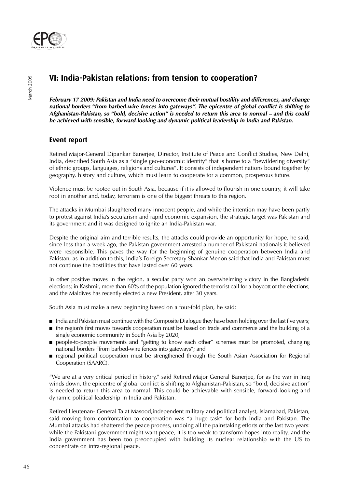

## **VI: India-Pakistan relations: from tension to cooperation?**

**February 17 2009: Pakistan and India need to overcome their mutual hostility and differences, and change national borders "from barbed-wire fences into gateways". The epicentre of global conflict is shifting to Afghanistan-Pakistan, so "bold, decisive action" is needed to return this area to normal – and this could be achieved with sensible, forward-looking and dynamic political leadership in India and Pakistan.** 

## **Event report**

Retired Major-General Dipankar Banerjee, Director, Institute of Peace and Conflict Studies, New Delhi, India, described South Asia as a "single geo-economic identity" that is home to a "bewildering diversity" of ethnic groups, languages, religions and cultures". It consists of independent nations bound together by geography, history and culture, which must learn to cooperate for a common, prosperous future.

Violence must be rooted out in South Asia, because if it is allowed to flourish in one country, it will take root in another and, today, terrorism is one of the biggest threats to this region.

The attacks in Mumbai slaughtered many innocent people, and while the intention may have been partly to protest against India's secularism and rapid economic expansion, the strategic target was Pakistan and its government and it was designed to ignite an India-Pakistan war.

Despite the original aim and terrible results, the attacks could provide an opportunity for hope, he said, since less than a week ago, the Pakistan government arrested a number of Pakistani nationals it believed were responsible. This paves the way for the beginning of genuine cooperation between India and Pakistan, as in addition to this, India's Foreign Secretary Shankar Menon said that India and Pakistan must not continue the hostilities that have lasted over 60 years.

In other positive moves in the region, a secular party won an overwhelming victory in the Bangladeshi elections; in Kashmir, more than 60% of the population ignored the terrorist call for a boycott of the elections; and the Maldives has recently elected a new President, after 30 years.

South Asia must make a new beginning based on a four-fold plan, he said:

- India and Pakistan must continue with the Composite Dialogue they have been holding over the last five years;
- the region's first moves towards cooperation must be based on trade and commerce and the building of a single economic community in South Asia by 2020;
- people-to-people movements and "getting to know each other" schemes must be promoted, changing national borders "from barbed-wire fences into gateways"; and
- regional political cooperation must be strengthened through the South Asian Association for Regional Cooperation (SAARC).

"We are at a very critical period in history," said Retired Major General Banerjee, for as the war in Iraq winds down, the epicentre of global conflict is shifting to Afghanistan-Pakistan, so "bold, decisive action" is needed to return this area to normal. This could be achievable with sensible, forward-looking and dynamic political leadership in India and Pakistan.

Retired Lieutenan- General Talat Masood,independent military and political analyst, Islamabad, Pakistan, said moving from confrontation to cooperation was "a huge task" for both India and Pakistan. The Mumbai attacks had shattered the peace process, undoing all the painstaking efforts of the last two years: while the Pakistani government might want peace, it is too weak to transform hopes into reality, and the India government has been too preoccupied with building its nuclear relationship with the US to concentrate on intra-regional peace.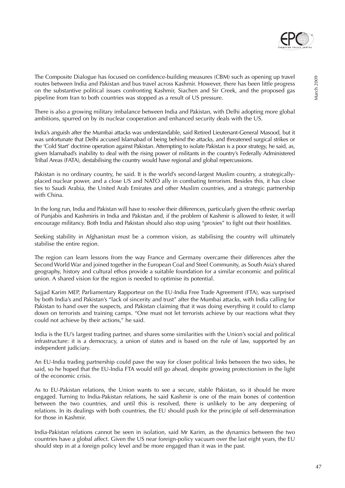

The Composite Dialogue has focused on confidence-building measures (CBM) such as opening up travel routes between India and Pakistan and bus travel across Kashmir. However, there has been little progress on the substantive political issues confronting Kashmir, Siachen and Sir Creek, and the proposed gas pipeline from Iran to both countries was stopped as a result of US pressure.

There is also a growing military imbalance between India and Pakistan, with Delhi adopting more global ambitions, spurred on by its nuclear cooperation and enhanced security deals with the US.

India's anguish after the Mumbai attacks was understandable, said Retired Lieutenant-General Masood, but it was unfortunate that Delhi accused Islamabad of being behind the attacks, and threatened surgical strikes or the 'Cold Start' doctrine operation against Pakistan. Attempting to isolate Pakistan is a poor strategy, he said, as, given Islamabad's inability to deal with the rising power of militants in the country's Federally Administered Tribal Areas (FATA), destabilising the country would have regional and global repercussions.

Pakistan is no ordinary country, he said. It is the world's second-largest Muslim country, a strategicallyplaced nuclear power, and a close US and NATO ally in combating terrorism. Besides this, it has close ties to Saudi Arabia, the United Arab Emirates and other Muslim countries, and a strategic partnership with China.

In the long run, India and Pakistan will have to resolve their differences, particularly given the ethnic overlap of Punjabis and Kashmiris in India and Pakistan and, if the problem of Kashmir is allowed to fester, it will encourage militancy. Both India and Pakistan should also stop using "proxies" to fight out their hostilities.

Seeking stability in Afghanistan must be a common vision, as stabilising the country will ultimately stabilise the entire region.

The region can learn lessons from the way France and Germany overcame their differences after the Second World War and joined together in the European Coal and Steel Community, as South Asia's shared geography, history and cultural ethos provide a suitable foundation for a similar economic and political union. A shared vision for the region is needed to optimise its potential.

Sajjad Karim MEP, Parliamentary Rapporteur on the EU-India Free Trade Agreement (FTA), was surprised by both India's and Pakistan's "lack of sincerity and trust" after the Mumbai attacks, with India calling for Pakistan to hand over the suspects, and Pakistan claiming that it was doing everything it could to clamp down on terrorists and training camps. "One must not let terrorists achieve by our reactions what they could not achieve by their actions," he said.

India is the EU's largest trading partner, and shares some similarities with the Union's social and political infrastructure: it is a democracy, a union of states and is based on the rule of law, supported by an independent judiciary.

An EU-India trading partnership could pave the way for closer political links between the two sides, he said, so he hoped that the EU-India FTA would still go ahead, despite growing protectionism in the light of the economic crisis.

As to EU-Pakistan relations, the Union wants to see a secure, stable Pakistan, so it should be more engaged. Turning to India-Pakistan relations, he said Kashmir is one of the main bones of contention between the two countries, and until this is resolved, there is unlikely to be any deepening of relations. In its dealings with both countries, the EU should push for the principle of self-determination for those in Kashmir.

India-Pakistan relations cannot be seen in isolation, said Mr Karim, as the dynamics between the two countries have a global affect. Given the US near foreign-policy vacuum over the last eight years, the EU should step in at a foreign policy level and be more engaged than it was in the past.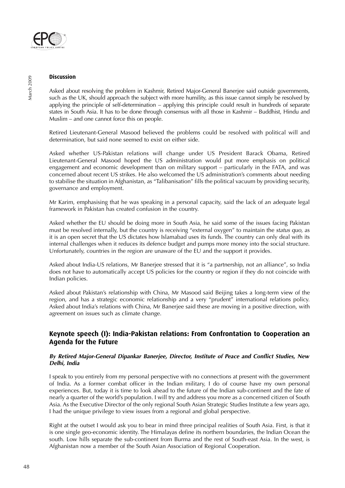

#### **Discussion**

Asked about resolving the problem in Kashmir, Retired Major-General Banerjee said outside governments, such as the UK, should approach the subject with more humility, as this issue cannot simply be resolved by applying the principle of self-determination – applying this principle could result in hundreds of separate states in South Asia. It has to be done through consensus with all those in Kashmir – Buddhist, Hindu and Muslim – and one cannot force this on people.

Retired Lieutenant-General Masood believed the problems could be resolved with political will and determination, but said none seemed to exist on either side.

Asked whether US-Pakistan relations will change under US President Barack Obama, Retired Lieutenant-General Masood hoped the US administration would put more emphasis on political engagement and economic development than on military support – particularly in the FATA, and was concerned about recent US strikes. He also welcomed the US administration's comments about needing to stabilise the situation in Afghanistan, as "Talibanisation" fills the political vacuum by providing security, governance and employment.

Mr Karim, emphasising that he was speaking in a personal capacity, said the lack of an adequate legal framework in Pakistan has created confusion in the country.

Asked whether the EU should be doing more in South Asia, he said some of the issues facing Pakistan must be resolved internally, but the country is receiving "external oxygen" to maintain the *status quo*, as it is an open secret that the US dictates how Islamabad uses its funds. The country can only deal with its internal challenges when it reduces its defence budget and pumps more money into the social structure. Unfortunately, countries in the region are unaware of the EU and the support it provides.

Asked about India-US relations, Mr Banerjee stressed that it is "a partnership, not an alliance", so India does not have to automatically accept US policies for the country or region if they do not coincide with Indian policies.

Asked about Pakistan's relationship with China, Mr Masood said Beijing takes a long-term view of the region, and has a strategic economic relationship and a very "prudent" international relations policy. Asked about India's relations with China, Mr Banerjee said these are moving in a positive direction, with agreement on issues such as climate change.

### **Keynote speech (I): India-Pakistan relations: From Confrontation to Cooperation an Agenda for the Future**

#### **By Retired Major-General Dipankar Banerjee, Director, Institute of Peace and Conflict Studies, New Delhi, India**

I speak to you entirely from my personal perspective with no connections at present with the government of India. As a former combat officer in the Indian military, I do of course have my own personal experiences. But, today it is time to look ahead to the future of the Indian sub-continent and the fate of nearly a quarter of the world's population. I will try and address you more as a concerned citizen of South Asia. As the Executive Director of the only regional South Asian Strategic Studies Institute a few years ago, I had the unique privilege to view issues from a regional and global perspective.

Right at the outset I would ask you to bear in mind three principal realities of South Asia. First, is that it is one single geo-economic identity. The Himalayas define its northern boundaries, the Indian Ocean the south. Low hills separate the sub-continent from Burma and the rest of South-east Asia. In the west, is Afghanistan now a member of the South Asian Association of Regional Cooperation.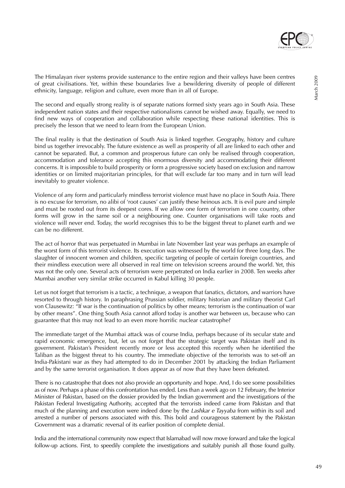The Himalayan river systems provide sustenance to the entire region and their valleys have been centres

The second and equally strong reality is of separate nations formed sixty years ago in South Asia. These independent nation states and their respective nationalisms cannot be wished away. Equally, we need to find new ways of cooperation and collaboration while respecting these national identities. This is precisely the lesson that we need to learn from the European Union.

of great civilisations. Yet, within these boundaries live a bewildering diversity of people of different

ethnicity, language, religion and culture, even more than in all of Europe.

The final reality is that the destination of South Asia is linked together. Geography, history and culture bind us together irrevocably. The future existence as well as prosperity of all are linked to each other and cannot be separated. But, a common and prosperous future can only be realised through cooperation, accommodation and tolerance accepting this enormous diversity and accommodating their different concerns. It is impossible to build prosperity or form a progressive society based on exclusion and narrow identities or on limited majoritarian principles, for that will exclude far too many and in turn will lead inevitably to greater violence.

Violence of any form and particularly mindless terrorist violence must have no place in South Asia. There is no excuse for terrorism, no alibi of 'root causes' can justify these heinous acts. It is evil pure and simple and must be rooted out from its deepest cores. If we allow one form of terrorism in one country, other forms will grow in the same soil or a neighbouring one. Counter organisations will take roots and violence will never end. Today, the world recognises this to be the biggest threat to planet earth and we can be no different.

The act of horror that was perpetuated in Mumbai in late November last year was perhaps an example of the worst form of this terrorist violence. Its execution was witnessed by the world for three long days. The slaughter of innocent women and children, specific targeting of people of certain foreign countries, and their mindless execution were all observed in real time on television screens around the world. Yet, this was not the only one. Several acts of terrorism were perpetrated on India earlier in 2008. Ten weeks after Mumbai another very similar strike occurred in Kabul killing 30 people.

Let us not forget that terrorism is a tactic, a technique, a weapon that fanatics, dictators, and warriors have resorted to through history. In paraphrasing Prussian soldier, military historian and military theorist Carl von Clausewitz: "If war is the continuation of politics by other means; terrorism is the continuation of war by other means". One thing South Asia cannot afford today is another war between us, because who can guarantee that this may not lead to an even more horrific nuclear catastrophe?

The immediate target of the Mumbai attack was of course India, perhaps because of its secular state and rapid economic emergence, but, let us not forget that the strategic target was Pakistan itself and its government. Pakistan's President recently more or less accepted this recently when he identified the Taliban as the biggest threat to his country. The immediate objective of the terrorists was to set-off an India-Pakistani war as they had attempted to do in December 2001 by attacking the Indian Parliament and by the same terrorist organisation. It does appear as of now that they have been defeated.

There is no catastrophe that does not also provide an opportunity and hope. And, I do see some possibilities as of now. Perhaps a phase of this confrontation has ended. Less than a week ago on 12 February, the Interior Minister of Pakistan, based on the dossier provided by the Indian government and the investigations of the Pakistan Federal Investigating Authority, accepted that the terrorists indeed came from Pakistan and that much of the planning and execution were indeed done by the Lashkar e Tayyaba from within its soil and arrested a number of persons associated with this. This bold and courageous statement by the Pakistan Government was a dramatic reversal of its earlier position of complete denial.

India and the international community now expect that Islamabad will now move forward and take the logical follow-up actions. First, to speedily complete the investigations and suitably punish all those found guilty.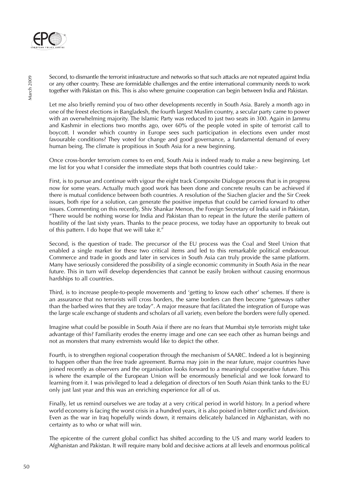

Second, to dismantle the terrorist infrastructure and networks so that such attacks are not repeated against India or any other country. These are formidable challenges and the entire international community needs to work together with Pakistan on this. This is also where genuine cooperation can begin between India and Pakistan.

Let me also briefly remind you of two other developments recently in South Asia. Barely a month ago in one of the freest elections in Bangladesh, the fourth largest Muslim country, a secular party came to power with an overwhelming majority. The Islamic Party was reduced to just two seats in 300. Again in Jammu and Kashmir in elections two months ago, over 60% of the people voted in spite of terrorist call to boycott. I wonder which country in Europe sees such participation in elections even under most favourable conditions? They voted for change and good governance, a fundamental demand of every human being. The climate is propitious in South Asia for a new beginning.

Once cross-border terrorism comes to en end, South Asia is indeed ready to make a new beginning. Let me list for you what I consider the immediate steps that both countries could take:-

First, is to pursue and continue with vigour the eight track Composite Dialogue process that is in progress now for some years. Actually much good work has been done and concrete results can be achieved if there is mutual confidence between both countries. A resolution of the Siachen glacier and the Sir Creek issues, both ripe for a solution, can generate the positive impetus that could be carried forward to other issues. Commenting on this recently, Shiv Shankar Menon, the Foreign Secretary of India said in Pakistan, "There would be nothing worse for India and Pakistan than to repeat in the future the sterile pattern of hostility of the last sixty years. Thanks to the peace process, we today have an opportunity to break out of this pattern. I do hope that we will take it."

Second, is the question of trade. The precursor of the EU process was the Coal and Steel Union that enabled a single market for these two critical items and led to this remarkable political endeavour. Commerce and trade in goods and later in services in South Asia can truly provide the same platform. Many have seriously considered the possibility of a single economic community in South Asia in the near future. This in turn will develop dependencies that cannot be easily broken without causing enormous hardships to all countries.

Third, is to increase people-to-people movements and 'getting to know each other' schemes. If there is an assurance that no terrorists will cross borders, the same borders can then become "gateways rather than the barbed wires that they are today". A major measure that facilitated the integration of Europe was the large scale exchange of students and scholars of all variety, even before the borders were fully opened.

Imagine what could be possible in South Asia if there are no fears that Mumbai style terrorists might take advantage of this? Familiarity erodes the enemy image and one can see each other as human beings and not as monsters that many extremists would like to depict the other.

Fourth, is to strengthen regional cooperation through the mechanism of SAARC. Indeed a lot is beginning to happen other than the free trade agreement. Burma may join in the near future, major countries have joined recently as observers and the organisation looks forward to a meaningful cooperative future. This is where the example of the European Union will be enormously beneficial and we look forward to learning from it. I was privileged to lead a delegation of directors of ten South Asian think tanks to the EU only just last year and this was an enriching experience for all of us.

Finally, let us remind ourselves we are today at a very critical period in world history. In a period where world economy is facing the worst crisis in a hundred years, it is also poised in bitter conflict and division. Even as the war in Iraq hopefully winds down, it remains delicately balanced in Afghanistan, with no certainty as to who or what will win.

The epicentre of the current global conflict has shifted according to the US and many world leaders to Afghanistan and Pakistan. It will require many bold and decisive actions at all levels and enormous political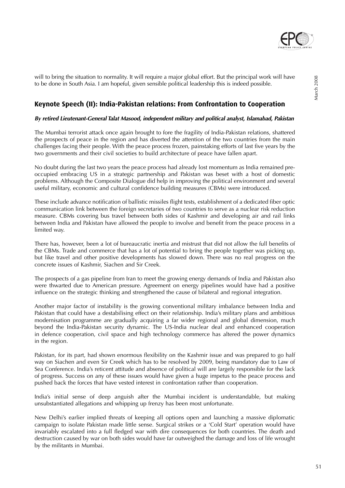

will to bring the situation to normality. It will require a major global effort. But the principal work will have to be done in South Asia. I am hopeful, given sensible political leadership this is indeed possible.

## **Keynote Speech (II): India-Pakistan relations: From Confrontation to Cooperation**

#### **By retired Lieutenant-General Talat Masood, independent military and political analyst, Islamabad, Pakistan**

The Mumbai terrorist attack once again brought to fore the fragility of India-Pakistan relations, shattered the prospects of peace in the region and has diverted the attention of the two countries from the main challenges facing their people. With the peace process frozen, painstaking efforts of last five years by the two governments and their civil societies to build architecture of peace have fallen apart.

No doubt during the last two years the peace process had already lost momentum as India remained preoccupied embracing US in a strategic partnership and Pakistan was beset with a host of domestic problems. Although the Composite Dialogue did help in improving the political environment and several useful military, economic and cultural confidence building measures (CBMs) were introduced.

These include advance notification of ballistic missiles flight tests, establishment of a dedicated fiber optic communication link between the foreign secretaries of two countries to serve as a nuclear risk reduction measure. CBMs covering bus travel between both sides of Kashmir and developing air and rail links between India and Pakistan have allowed the people to involve and benefit from the peace process in a limited way.

There has, however, been a lot of bureaucratic inertia and mistrust that did not allow the full benefits of the CBMs. Trade and commerce that has a lot of potential to bring the people together was picking up, but like travel and other positive developments has slowed down. There was no real progress on the concrete issues of Kashmir, Siachen and Sir Creek.

The prospects of a gas pipeline from Iran to meet the growing energy demands of India and Pakistan also were thwarted due to American pressure. Agreement on energy pipelines would have had a positive influence on the strategic thinking and strengthened the cause of bilateral and regional integration.

Another major factor of instability is the growing conventional military imbalance between India and Pakistan that could have a destabilising effect on their relationship. India's military plans and ambitious modernisation programme are gradually acquiring a far wider regional and global dimension, much beyond the India-Pakistan security dynamic. The US-India nuclear deal and enhanced cooperation in defence cooperation, civil space and high technology commerce has altered the power dynamics in the region.

Pakistan, for its part, had shown enormous flexibility on the Kashmir issue and was prepared to go half way on Siachen and even Sir Creek which has to be resolved by 2009, being mandatory due to Law of Sea Conference. India's reticent attitude and absence of political will are largely responsible for the lack of progress. Success on any of these issues would have given a huge impetus to the peace process and pushed back the forces that have vested interest in confrontation rather than cooperation.

India's initial sense of deep anguish after the Mumbai incident is understandable, but making unsubstantiated allegations and whipping up frenzy has been most unfortunate.

New Delhi's earlier implied threats of keeping all options open and launching a massive diplomatic campaign to isolate Pakistan made little sense. Surgical strikes or a 'Cold Start' operation would have invariably escalated into a full fledged war with dire consequences for both countries. The death and destruction caused by war on both sides would have far outweighed the damage and loss of life wrought by the militants in Mumbai.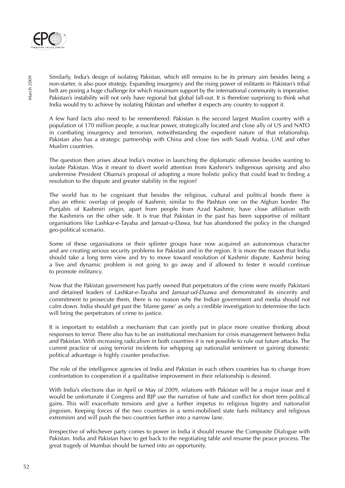

Similarly, India's design of isolating Pakistan, which still remains to be its primary aim besides being a non-starter, is also poor strategy. Expanding insurgency and the rising power of militants in Pakistan's tribal belt are posing a huge challenge for which maximum support by the international community is imperative. Pakistan's instability will not only have regional but global fall-out. It is therefore surprising to think what India would try to achieve by isolating Pakistan and whether it expects any country to support it.

A few hard facts also need to be remembered: Pakistan is the second largest Muslim country with a population of 170 million people, a nuclear power, strategically located and close ally of US and NATO in combating insurgency and terrorism, notwithstanding the expedient nature of that relationship. Pakistan also has a strategic partnership with China and close ties with Saudi Arabia, UAE and other Muslim countries.

The question then arises about India's motive in launching the diplomatic offensive besides wanting to isolate Pakistan. Was it meant to divert world attention from Kashmir's indigenous uprising and also undermine President Obama's proposal of adopting a more holistic policy that could lead to finding a resolution to the dispute and greater stability in the region?

The world has to be cognisant that besides the religious, cultural and political bonds there is also an ethnic overlap of people of Kashmir, similar to the Pashtun one on the Afghan border. The Punjabis of Kashmiri origin, apart from people from Azad Kashmir, have close affiliation with the Kashmiris on the other side. It is true that Pakistan in the past has been supportive of militant organisations like Lashkar-e-Tayaba and Jamaat-u-Dawa, but has abandoned the policy in the changed geo-political scenario.

Some of these organisations or their splinter groups have now acquired an autonomous character and are creating serious security problems for Pakistan and in the region. It is more the reason that India should take a long term view and try to move toward resolution of Kashmir dispute. Kashmir being a live and dynamic problem is not going to go away and if allowed to fester it would continue to promote militancy.

Now that the Pakistan government has partly owned that perpetrators of the crime were mostly Pakistani and detained leaders of *Lashkar-e-Tayaba* and *Jamaat-ud-Daawa* and demonstrated its sincerity and commitment to prosecute them, there is no reason why the Indian government and media should not calm down. India should get past the 'blame game' as only a credible investigation to determine the facts will bring the perpetrators of crime to justice.

It is important to establish a mechanism that can jointly put in place more creative thinking about responses to terror. There also has to be an institutional mechanism for crisis management between India and Pakistan. With increasing radicalism in both countries it is not possible to rule out future attacks. The current practice of using terrorist incidents for whipping up nationalist sentiment or gaining domestic political advantage is highly counter productive.

The role of the intelligence agencies of India and Pakistan in each others countries has to change from confrontation to cooperation if a qualitative improvement in their relationship is desired.

With India's elections due in April or May of 2009, relations with Pakistan will be a major issue and it would be unfortunate if Congress and BJP use the narrative of hate and conflict for short term political gains. This will exacerbate tensions and give a further impetus to religious bigotry and nationalist jingoism. Keeping forces of the two countries in a semi-mobilised state fuels militancy and religious extremism and will push the two countries further into a narrow lane.

Irrespective of whichever party comes to power in India it should resume the Composite Dialogue with Pakistan. India and Pakistan have to get back to the negotiating table and resume the peace process. The great tragedy of Mumbai should be turned into an opportunity.